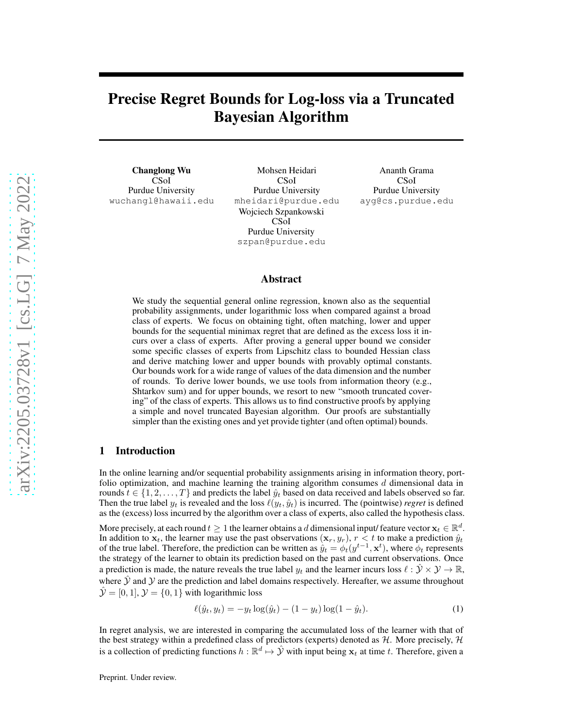# Precise Regret Bounds for Log-loss via a Truncated Bayesian Algorithm

Changlong Wu CSoI Purdue University wuchangl@hawaii.edu

Mohsen Heidari CSoI Purdue University mheidari@purdue.edu Wojciech Szpankowski CSoI Purdue University szpan@purdue.edu

Ananth Grama CSoI Purdue University ayg@cs.purdue.edu

#### Abstract

We study the sequential general online regression, known also as the sequential probability assignments, under logarithmic loss when compared against a broad class of experts. We focus on obtaining tight, often matching, lower and upper bounds for the sequential minimax regret that are defined as the excess loss it incurs over a class of experts. After proving a general upper bound we consider some specific classes of experts from Lipschitz class to bounded Hessian class and derive matching lower and upper bounds with provably optimal constants. Our bounds work for a wide range of values of the data dimension and the number of rounds. To derive lower bounds, we use tools from information theory (e.g., Shtarkov sum) and for upper bounds, we resort to new "smooth truncated covering" of the class of experts. This allows us to find constructive proofs by applying a simple and novel truncated Bayesian algorithm. Our proofs are substantially simpler than the existing ones and yet provide tighter (and often optimal) bounds.

#### 1 Introduction

In the online learning and/or sequential probability assignments arising in information theory, portfolio optimization, and machine learning the training algorithm consumes  $d$  dimensional data in rounds  $t \in \{1, 2, \ldots, T\}$  and predicts the label  $\hat{y}_t$  based on data received and labels observed so far. Then the true label  $y_t$  is revealed and the loss  $\ell(y_t, \hat{y}_t)$  is incurred. The (pointwise) *regret* is defined as the (excess) loss incurred by the algorithm over a class of experts, also called the hypothesis class.

More precisely, at each round  $t \geq 1$  the learner obtains a d dimensional input/ feature vector  $\mathbf{x}_t \in \mathbb{R}^d$ . In addition to  $x_t$ , the learner may use the past observations  $(x_r, y_r)$ ,  $r < t$  to make a prediction  $\hat{y}_t$ of the true label. Therefore, the prediction can be written as  $\hat{y}_t = \phi_t(y^{t-1}, \mathbf{x}^t)$ , where  $\phi_t$  represents the strategy of the learner to obtain its prediction based on the past and current observations. Once a prediction is made, the nature reveals the true label  $y_t$  and the learner incurs loss  $\ell : \mathcal{Y} \times \mathcal{Y} \to \mathbb{R}$ , where  $Y$  and  $Y$  are the prediction and label domains respectively. Hereafter, we assume throughout  $\hat{y} = [0, 1], y = \{0, 1\}$  with logarithmic loss

<span id="page-0-0"></span>
$$
\ell(\hat{y}_t, y_t) = -y_t \log(\hat{y}_t) - (1 - y_t) \log(1 - \hat{y}_t).
$$
\n(1)

In regret analysis, we are interested in comparing the accumulated loss of the learner with that of the best strategy within a predefined class of predictors (experts) denoted as  $H$ . More precisely,  $H$ is a collection of predicting functions  $h : \mathbb{R}^d \mapsto \hat{y}$  with input being  $x_t$  at time t. Therefore, given a

Preprint. Under review.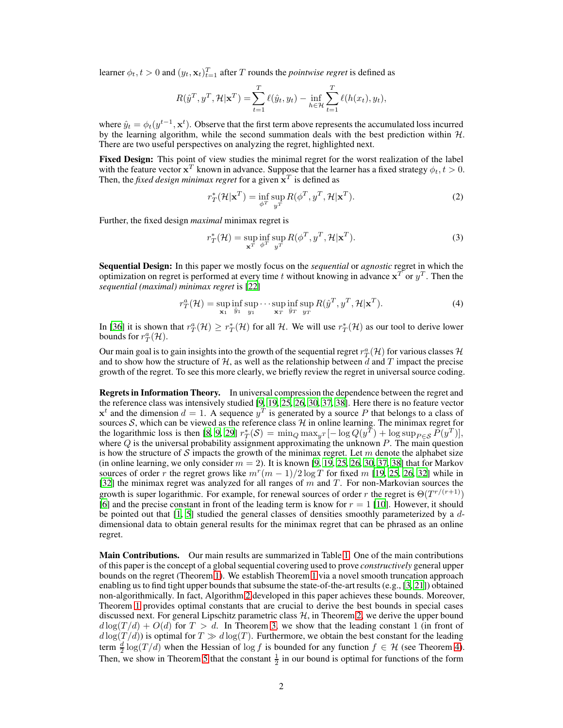learner  $\phi_t, t > 0$  and  $(y_t, \mathbf{x}_t)_{t=1}^T$  after T rounds the *pointwise regret* is defined as

$$
R(\hat{y}^T, y^T, \mathcal{H} | \mathbf{x}^T) = \sum_{t=1}^T \ell(\hat{y}_t, y_t) - \inf_{h \in \mathcal{H}} \sum_{t=1}^T \ell(h(x_t), y_t),
$$

where  $\hat{y}_t = \phi_t(y^{t-1}, \mathbf{x}^t)$ . Observe that the first term above represents the accumulated loss incurred by the learning algorithm, while the second summation deals with the best prediction within  $H$ . There are two useful perspectives on analyzing the regret, highlighted next.

Fixed Design: This point of view studies the minimal regret for the worst realization of the label with the feature vector  $x^T$  known in advance. Suppose that the learner has a fixed strategy  $\phi_t, t > 0$ . Then, the *fixed design minimax regret* for a given  $\mathbf{x}^T$  is defined as

$$
r_T^{\ast}(\mathcal{H}|\mathbf{x}^T) = \inf_{\phi^T} \sup_{y^T} R(\phi^T, y^T, \mathcal{H}|\mathbf{x}^T).
$$
 (2)

Further, the fixed design *maximal* minimax regret is

$$
r_T^{\ast}(\mathcal{H}) = \sup_{\mathbf{x}^T} \inf_{\phi^T} \sup_{y^T} R(\phi^T, y^T, \mathcal{H}|\mathbf{x}^T).
$$
 (3)

Sequential Design: In this paper we mostly focus on the *sequential* or *agnostic* regret in which the optimization on regret is performed at every time t without knowing in advance  $x^T$  or  $y^T$ . Then the *sequential (maximal) minimax regret* is [\[22\]](#page-9-0)

$$
r_T^a(\mathcal{H}) = \sup_{\mathbf{x}_1} \inf_{\hat{y}_1} \sup_{y_1} \cdots \sup_{\mathbf{x}_T} \inf_{\hat{y}_T} \sup_{y_T} R(\hat{y}^T, y^T, \mathcal{H} | \mathbf{x}^T).
$$
 (4)

In [\[36\]](#page-10-0) it is shown that  $r_T^a(\mathcal{H}) \ge r_T^*(\mathcal{H})$  for all  $\mathcal{H}$ . We will use  $r_T^*(\mathcal{H})$  as our tool to derive lower bounds for  $r_T^a(\mathcal{H})$ .

Our main goal is to gain insights into the growth of the sequential regret  $r_T^a(\mathcal{H})$  for various classes  $\mathcal{H}$ and to show how the structure of  $H$ , as well as the relationship between d and T impact the precise growth of the regret. To see this more clearly, we briefly review the regret in universal source coding.

Regrets in Information Theory. In universal compression the dependence between the regret and the reference class was intensively studied [\[9,](#page-9-1) [19](#page-9-2), [25](#page-10-1), [26,](#page-10-2) [30,](#page-10-3) [37,](#page-10-4) [38](#page-10-5)]. Here there is no feature vector  $x^t$  and the dimension  $d = 1$ . A sequence  $y^T$  is generated by a source P that belongs to a class of sources S, which can be viewed as the reference class H in online learning. The minimax regret for the logarithmic loss is then [\[8,](#page-9-3) [9,](#page-9-1) [29\]](#page-10-6)  $r^*_{T}(\mathcal{S}) = \min_{Q} \max_{y} [-\log Q(y^T) + \log \sup_{P \in \mathcal{S}} P(y^T)],$ where  $Q$  is the universal probability assignment approximating the unknown  $P$ . The main question is how the structure of  $S$  impacts the growth of the minimax regret. Let  $m$  denote the alphabet size (in online learning, we only consider  $m = 2$ ). It is known [\[9](#page-9-1), [19,](#page-9-2) [25,](#page-10-1) [26,](#page-10-2) [30](#page-10-3), [37](#page-10-4), [38\]](#page-10-5) that for Markov sources of order r the regret grows like  $m^r(m-1)/2 \log T$  for fixed m [\[19,](#page-9-2) [25,](#page-10-1) [26](#page-10-2), [32\]](#page-10-7) while in [\[32](#page-10-7)] the minimax regret was analyzed for all ranges of  $m$  and  $T$ . For non-Markovian sources the growth is super logarithmic. For example, for renewal sources of order r the regret is  $\Theta(T^{r/(r+1)})$ [\[6](#page-9-4)] and the precise constant in front of the leading term is know for  $r = 1$  [\[10](#page-9-5)]. However, it should be pointed out that  $[1, 5]$  $[1, 5]$  studied the general classes of densities smoothly parameterized by a  $d$ dimensional data to obtain general results for the minimax regret that can be phrased as an online regret.

Main Contributions. Our main results are summarized in Table [1.](#page-2-0) One of the main contributions of this paper is the concept of a global sequential covering used to prove *constructively* general upper bounds on the regret (Theorem [1\)](#page-4-0). We establish Theorem [1](#page-4-0) via a novel smooth truncation approach enabling us to find tight upper bounds that subsume the state-of-the-art results (e.g., [\[3,](#page-9-8) [21](#page-9-9)]) obtained non-algorithmically. In fact, Algorithm [2](#page-5-0) developed in this paper achieves these bounds. Moreover, Theorem [1](#page-4-0) provides optimal constants that are crucial to derive the best bounds in special cases discussed next. For general Lipschitz parametric class  $H$ , in Theorem [2,](#page-6-0) we derive the upper bound  $d \log(T/d) + O(d)$  for  $T > d$ . In Theorem [3,](#page-6-1) we show that the leading constant 1 (in front of  $d \log(T/d)$ ) is optimal for  $T \gg d \log(T)$ . Furthermore, we obtain the best constant for the leading term  $\frac{d}{2} \log(T/d)$  when the Hessian of  $\log f$  is bounded for any function  $f \in \mathcal{H}$  (see Theorem [4\)](#page-7-0). Then, we show in Theorem [5](#page-7-1) that the constant  $\frac{1}{2}$  in our bound is optimal for functions of the form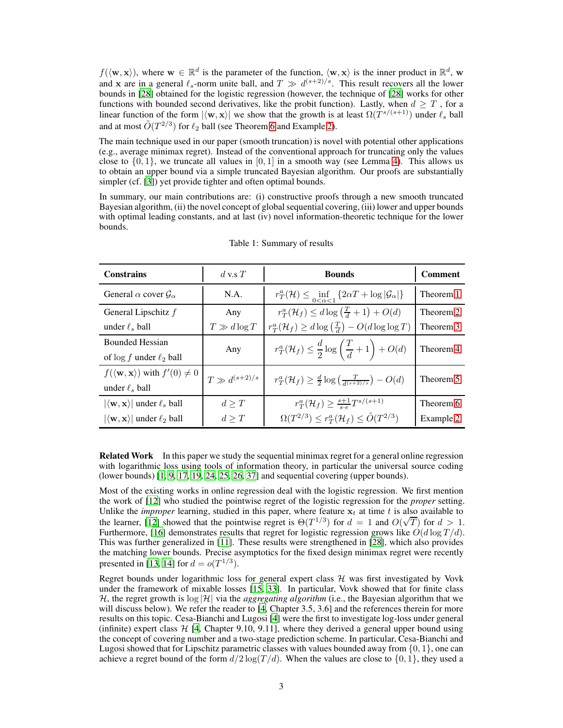$f(\langle \mathbf{w}, \mathbf{x} \rangle)$ , where  $\mathbf{w} \in \mathbb{R}^d$  is the parameter of the function,  $\langle \mathbf{w}, \mathbf{x} \rangle$  is the inner product in  $\mathbb{R}^d$ , w and x are in a general  $\ell_s$ -norm unite ball, and  $T \gg d^{(s+2)/s}$ . This result recovers all the lower bounds in [\[28\]](#page-10-8) obtained for the logistic regression (however, the technique of [\[28\]](#page-10-8) works for other functions with bounded second derivatives, like the probit function). Lastly, when  $d \geq T$ , for a linear function of the form  $|\langle \mathbf{w}, \mathbf{x} \rangle|$  we show that the growth is at least  $\Omega(T^{s/(s+1)})$  under  $\ell_s$  ball and at most  $\tilde{O}(T^{2/3})$  for  $\ell_2$  ball (see Theorem [6](#page-8-0) and Example [2\)](#page-8-1).

The main technique used in our paper (smooth truncation) is novel with potential other applications (e.g., average minimax regret). Instead of the conventional approach for truncating only the values close to  $\{0, 1\}$ , we truncate all values in  $[0, 1]$  in a smooth way (see Lemma [4\)](#page-5-1). This allows us to obtain an upper bound via a simple truncated Bayesian algorithm. Our proofs are substantially simpler (cf. [\[3\]](#page-9-8)) yet provide tighter and often optimal bounds.

In summary, our main contributions are: (i) constructive proofs through a new smooth truncated Bayesian algorithm, (ii) the novel concept of global sequential covering, (iii) lower and upper bounds with optimal leading constants, and at last (iv) novel information-theoretic technique for the lower bounds.

| <b>Constrains</b>                                               | $d$ v.s $T$         | <b>Bounds</b>                                                                                   | <b>Comment</b> |
|-----------------------------------------------------------------|---------------------|-------------------------------------------------------------------------------------------------|----------------|
| General $\alpha$ cover $\mathcal{G}_{\alpha}$                   | N.A.                | $r_T^a(\mathcal{H}) \le \inf_{0 \le \alpha \le 1} \{2\alpha T + \log  \mathcal{G}_{\alpha}  \}$ | Theorem 1      |
| General Lipschitz $f$                                           | Any                 | $r^a_T(\mathcal{H}_f) \leq d \log\left(\frac{T}{d} + 1\right) + O(d)$                           | Theorem 2      |
| under $\ell_s$ ball                                             | $T \gg d \log T$    | $r^a_T(\mathcal{H}_f) \geq d \log\left(\frac{T}{d}\right) - O(d \log \log T)$                   | Theorem 3      |
| <b>Bounded Hessian</b>                                          | Any                 | $r_T^a(\mathcal{H}_f) \leq \frac{d}{2}\log\left(\frac{T}{d} + 1\right) + O(d)$                  | Theorem 4      |
| of $\log f$ under $\ell_2$ ball                                 |                     |                                                                                                 |                |
| $f(\langle \mathbf{w}, \mathbf{x} \rangle)$ with $f'(0) \neq 0$ | $T \gg d^{(s+2)/s}$ | $r_T^a(\mathcal{H}_f) \geq \frac{d}{2} \log \left( \frac{T}{d^{(s+2)/s}} \right) - O(d)$        | Theorem 5      |
| under $\ell_s$ ball                                             |                     |                                                                                                 |                |
| $ \langle \mathbf{w}, \mathbf{x} \rangle $ under $\ell_s$ ball  | d > T               | $r_T^a(\mathcal{H}_f) \geq \frac{s+1}{s \cdot e} T^{s/(s+1)}$                                   | Theorem 6      |
| $ \langle \mathbf{w}, \mathbf{x} \rangle $ under $\ell_2$ ball  | d > T               | $\Omega(T^{2/3}) \leq r_T^a(\mathcal{H}_f) \leq \tilde{O}(T^{2/3})$                             | Example 2      |

<span id="page-2-0"></span>Table 1: Summary of results

**Related Work** In this paper we study the sequential minimax regret for a general online regression with logarithmic loss using tools of information theory, in particular the universal source coding (lower bounds) [\[1,](#page-9-6) [9,](#page-9-1) [17,](#page-9-10) [19,](#page-9-2) [24,](#page-10-9) [25,](#page-10-1) [26,](#page-10-2) [37\]](#page-10-4) and sequential covering (upper bounds).

Most of the existing works in online regression deal with the logistic regression. We first mention the work of [\[12\]](#page-9-11) who studied the pointwise regret of the logistic regression for the *proper* setting. Unlike the *improper* learning, studied in this paper, where feature  $x_t$  at time t is also available to the learner, [\[12\]](#page-9-11) showed that the pointwise regret is  $\Theta(T^{1/3})$  for  $d = 1$  and  $O(\sqrt{T})$  for  $d > 1$ . Furthermore, [\[16\]](#page-9-12) demonstrates results that regret for logistic regression grows like  $O(d \log T/d)$ . This was further generalized in [\[11](#page-9-13)]. These results were strengthened in [\[28\]](#page-10-8), which also provides the matching lower bounds. Precise asymptotics for the fixed design minimax regret were recently presented in [\[13](#page-9-14), [14](#page-9-15)] for  $d = o(T^{1/3})$ .

Regret bounds under logarithmic loss for general expert class  $H$  was first investigated by Vovk under the framework of mixable losses [\[15,](#page-9-16) [33\]](#page-10-10). In particular, Vovk showed that for finite class H, the regret growth is  $log |\mathcal{H}|$  via the *aggregating algorithm* (i.e., the Bayesian algorithm that we will discuss below). We refer the reader to [\[4,](#page-9-17) Chapter 3.5, 3.6] and the references therein for more results on this topic. Cesa-Bianchi and Lugosi [\[4\]](#page-9-17) were the first to investigate log-loss under general (infinite) expert class  $\mathcal{H}$  [\[4,](#page-9-17) Chapter 9.10, 9.11], where they derived a general upper bound using the concept of covering number and a two-stage prediction scheme. In particular, Cesa-Bianchi and Lugosi showed that for Lipschitz parametric classes with values bounded away from  $\{0, 1\}$ , one can achieve a regret bound of the form  $d/2 \log(T/d)$ . When the values are close to  $\{0, 1\}$ , they used a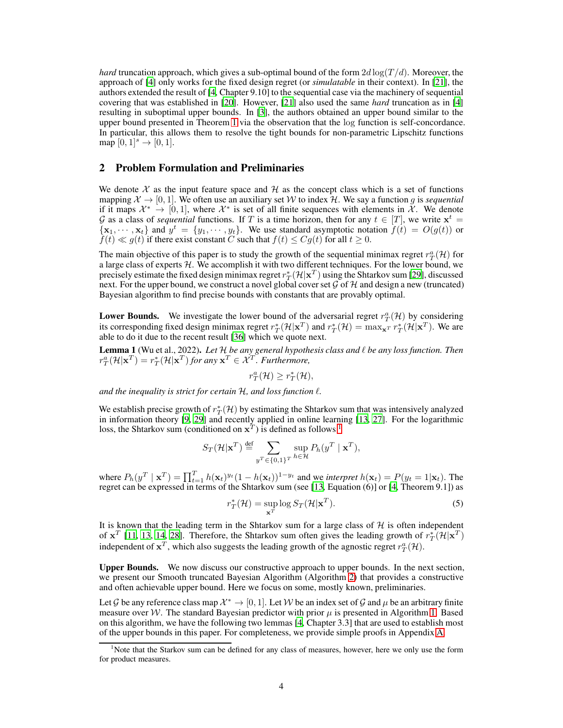*hard* truncation approach, which gives a sub-optimal bound of the form  $2d \log(T/d)$ . Moreover, the approach of [\[4\]](#page-9-17) only works for the fixed design regret (or *simulatable* in their context). In [\[21](#page-9-9)], the authors extended the result of [\[4](#page-9-17), Chapter 9.10] to the sequential case via the machinery of sequential covering that was established in [\[20\]](#page-9-18). However, [\[21\]](#page-9-9) also used the same *hard* truncation as in [\[4\]](#page-9-17) resulting in suboptimal upper bounds. In [\[3\]](#page-9-8), the authors obtained an upper bound similar to the upper bound presented in Theorem [1](#page-4-0) via the observation that the log function is self-concordance. In particular, this allows them to resolve the tight bounds for non-parametric Lipschitz functions map  $[0, 1]^{s} \to [0, 1]$ .

### 2 Problem Formulation and Preliminaries

We denote  $\mathcal X$  as the input feature space and  $\mathcal H$  as the concept class which is a set of functions mapping  $\mathcal{X} \to [0, 1]$ . We often use an auxiliary set W to index H. We say a function g is *sequential* if it maps  $\mathcal{X}^* \to [0,1]$ , where  $\mathcal{X}^*$  is set of all finite sequences with elements in  $\mathcal{X}$ . We denote  $G$  as a class of *sequential* functions. If T is a time horizon, then for any  $t \in [T]$ , we write  $\mathbf{x}^t =$  ${x_1, \dots, x_t}$  and  $y^t = {y_1, \dots, y_t}$ . We use standard asymptotic notation  $f(t) = O(g(t))$  or  $f(t) \ll g(t)$  if there exist constant C such that  $f(t) \leq Cg(t)$  for all  $t \geq 0$ .

The main objective of this paper is to study the growth of the sequential minimax regret  $r_T^a(\mathcal{H})$  for a large class of experts  $H$ . We accomplish it with two different techniques. For the lower bound, we precisely estimate the fixed design minimax regret  $r_T^*(\mathcal{H}|\mathbf{x}^T)$  using the Shtarkov sum [\[29](#page-10-6)], discussed next. For the upper bound, we construct a novel global cover set  $\mathcal G$  of  $\mathcal H$  and design a new (truncated) Bayesian algorithm to find precise bounds with constants that are provably optimal.

**Lower Bounds.** We investigate the lower bound of the adversarial regret  $r_T^a(\mathcal{H})$  by considering its corresponding fixed design minimax regret  $r_T^* (\mathcal{H} | \mathbf{x}^T)$  and  $r_T^* (\mathcal{H} | \mathbf{x}^T) = \max_{\mathbf{x}^T} r_T^* (\mathcal{H} | \mathbf{x}^T)$ . We are able to do it due to the recent result [\[36](#page-10-0)] which we quote next.

<span id="page-3-2"></span>**Lemma 1** (Wu et al., 2022). Let H be any general hypothesis class and  $\ell$  be any loss function. Then  $r_T^a(\mathcal{H}|\mathbf{x}^T) = r_T^*(\mathcal{H}|\mathbf{x}^T)$  for any  $\mathbf{x}^T \in \mathcal{X}^T$ . Furthermore,

 $r_T^a(\mathcal{H}) \geq r_T^*(\mathcal{H}),$ 

*and the inequality is strict for certain* H*, and loss function* ℓ*.*

We establish precise growth of  $r_T^*(\mathcal{H})$  by estimating the Shtarkov sum that was intensively analyzed in information theory [\[9,](#page-9-1) [29](#page-10-6)] and recently applied in online learning [\[13](#page-9-14), [27\]](#page-10-11). For the logarithmic loss, the Shtarkov sum (conditioned on  $x^T$ ) is defined as follows <sup>[1](#page-3-0)</sup>

$$
S_T(\mathcal{H}|{\bf x}^T) \stackrel{\text{def}}{=} \sum_{y^T \in \{0,1\}^T} \sup_{h \in \mathcal{H}} P_h(y^T \mid {\bf x}^T),
$$

where  $P_h(y^T | \mathbf{x}^T) = \prod_{t=1}^T h(\mathbf{x}_t)^{y_t} (1 - h(\mathbf{x}_t))^{1-y_t}$  and we *interpret*  $h(\mathbf{x}_t) = P(y_t = 1 | \mathbf{x}_t)$ . The regret can be expressed in terms of the Shtarkov sum (see [\[13,](#page-9-14) Equation (6)] or [\[4](#page-9-17), Theorem 9.1]) as

<span id="page-3-1"></span>
$$
r_T^*(\mathcal{H}) = \sup_{\mathbf{x}^T} \log S_T(\mathcal{H}|\mathbf{x}^T). \tag{5}
$$

It is known that the leading term in the Shtarkov sum for a large class of  $H$  is often independent of  $\mathbf{x}^T$  [\[11](#page-9-13), [13,](#page-9-14) [14,](#page-9-15) [28](#page-10-8)]. Therefore, the Shtarkov sum often gives the leading growth of  $r_T^*(\mathcal{H}|\mathbf{x}^T)$ independent of  $x^T$ , which also suggests the leading growth of the agnostic regret  $r^a_T(\mathcal{H})$ .

Upper Bounds. We now discuss our constructive approach to upper bounds. In the next section, we present our Smooth truncated Bayesian Algorithm (Algorithm [2\)](#page-5-0) that provides a constructive and often achievable upper bound. Here we focus on some, mostly known, preliminaries.

Let G be any reference class map  $\mathcal{X}^* \to [0, 1]$ . Let W be an index set of G and  $\mu$  be an arbitrary finite measure over W. The standard Bayesian predictor with prior  $\mu$  is presented in Algorithm [1.](#page-4-1) Based on this algorithm, we have the following two lemmas [\[4,](#page-9-17) Chapter 3.3] that are used to establish most of the upper bounds in this paper. For completeness, we provide simple proofs in Appendix [A.](#page-11-0)

<span id="page-3-0"></span><sup>1</sup>Note that the Starkov sum can be defined for any class of measures, however, here we only use the form for product measures.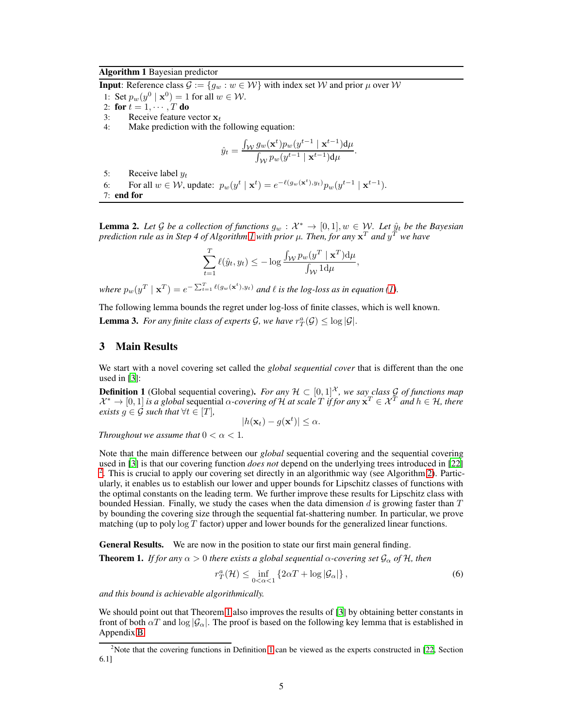#### <span id="page-4-1"></span>Algorithm 1 Bayesian predictor

**Input**: Reference class  $\mathcal{G} := \{g_w : w \in \mathcal{W}\}\$  with index set W and prior  $\mu$  over W

- 1: Set  $p_w(y^0 \mid \mathbf{x}^0) = 1$  for all  $w \in \mathcal{W}$ .
- 2: for  $t = 1, \cdots, T$  do
- 3: Receive feature vector  $x_t$ <br>4: Make prediction with the
- Make prediction with the following equation:

$$
\hat{y}_t = \frac{\int_{\mathcal{W}} g_w(\mathbf{x}^t) p_w(y^{t-1} | \mathbf{x}^{t-1}) d\mu}{\int_{\mathcal{W}} p_w(y^{t-1} | \mathbf{x}^{t-1}) d\mu}.
$$

- 5: Receive label  $y_t$
- 6: For all  $w \in \mathcal{W}$ , update:  $p_w(y^t | \mathbf{x}^t) = e^{-\ell(g_w(\mathbf{x}^t), y_t)} p_w(y^{t-1} | \mathbf{x}^{t-1})$ . 7: end for

<span id="page-4-5"></span>**Lemma 2.** Let G be a collection of functions  $g_w : \mathcal{X}^* \to [0,1], w \in \mathcal{W}$ . Let  $\hat{y}_t$  be the Bayesian *prediction rule as in Step 4 of Algorithm [1](#page-4-1) with prior* µ*. Then, for any* x <sup>T</sup> *and* y <sup>T</sup> *we have*

$$
\sum_{t=1}^{T} \ell(\hat{y}_t, y_t) \le -\log \frac{\int_{\mathcal{W}} p_w(y^T \mid \mathbf{x}^T) d\mu}{\int_{\mathcal{W}} 1 d\mu},
$$

where  $p_w(y^T | \mathbf{x}^T) = e^{-\sum_{t=1}^T \ell(g_w(\mathbf{x}^t), y_t)}$  and  $\ell$  is the log-loss as in equation [\(1\)](#page-0-0).

<span id="page-4-4"></span>The following lemma bounds the regret under log-loss of finite classes, which is well known. **Lemma 3.** For any finite class of experts  $\mathcal{G}$ , we have  $r_T^a(\mathcal{G}) \leq \log |\mathcal{G}|$ .

#### 3 Main Results

We start with a novel covering set called the *global sequential cover* that is different than the one used in [\[3](#page-9-8)]:

<span id="page-4-3"></span>**Definition 1** (Global sequential covering). *For any*  $\mathcal{H} \subset [0,1]^{\mathcal{X}}$ *, we say class* G of functions map  $\mathcal{X}^* \to [0,1]$  *is a global* sequential  $\alpha$ -covering of  $\hat{\mathcal{H}}$  at scale  $T$  *if for any*  $\mathbf{x}^T \in \mathcal{X}^T$  *and*  $h \in \mathcal{H}$ , there *exists*  $g \in \mathcal{G}$  *such that*  $\forall t \in [T]$ *,* 

$$
|h(\mathbf{x}_t) - g(\mathbf{x}^t)| \leq \alpha.
$$

*Throughout we assume that*  $0 < \alpha < 1$ *.* 

Note that the main difference between our *global* sequential covering and the sequential covering used in [\[3\]](#page-9-8) is that our covering function *does not* depend on the underlying trees introduced in [\[22\]](#page-9-0) <sup>[2](#page-4-2)</sup>. This is crucial to apply our covering set directly in an algorithmic way (see Algorithm [2\)](#page-5-0). Particularly, it enables us to establish our lower and upper bounds for Lipschitz classes of functions with the optimal constants on the leading term. We further improve these results for Lipschitz class with bounded Hessian. Finally, we study the cases when the data dimension  $d$  is growing faster than  $T$ by bounding the covering size through the sequential fat-shattering number. In particular, we prove matching (up to poly  $\log T$  factor) upper and lower bounds for the generalized linear functions.

General Results. We are now in the position to state our first main general finding.

<span id="page-4-0"></span>**Theorem 1.** *If for any*  $\alpha > 0$  *there exists a global sequential*  $\alpha$ *-covering set*  $\mathcal{G}_{\alpha}$  *of*  $\mathcal{H}$ *, then* 

$$
r_T^a(\mathcal{H}) \le \inf_{0 < \alpha < 1} \left\{ 2\alpha T + \log |\mathcal{G}_\alpha| \right\},\tag{6}
$$

*and this bound is achievable algorithmically.*

We should point out that Theorem [1](#page-4-0) also improves the results of [\[3](#page-9-8)] by obtaining better constants in front of both  $\alpha T$  and  $\log |\mathcal{G}_{\alpha}|$ . The proof is based on the following key lemma that is established in Appendix [B.](#page-12-0)

<span id="page-4-2"></span><sup>&</sup>lt;sup>2</sup>Note that the covering functions in Definition [1](#page-4-3) can be viewed as the experts constructed in [\[22](#page-9-0), Section 6.1]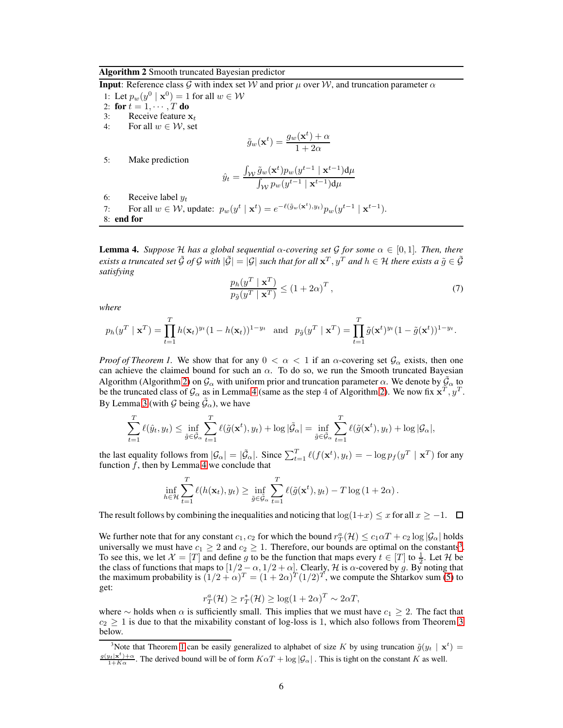#### <span id="page-5-0"></span>Algorithm 2 Smooth truncated Bayesian predictor

**Input**: Reference class G with index set W and prior  $\mu$  over W, and truncation parameter  $\alpha$ 1: Let  $p_w(y^0 \mid \mathbf{x}^0) = 1$  for all  $w \in \mathcal{W}$ 2: for  $t = 1, \dots, T$  do<br>3: Receive feature x 3: Receive feature  $x_t$ <br>4: For all  $w \in W$ , set For all  $w \in \mathcal{W}$ , set  $\tilde{g}_w(\mathbf{x}^t) = \frac{g_w(\mathbf{x}^t) + \alpha}{1 + 2\alpha}$  $1+2\alpha$ 5: Make prediction  $\hat{y}_t =$  $\int_{\cal W} \tilde{g}_w(\mathbf{x}^t) p_w(y^{t-1} \mid \mathbf{x}^{t-1}) \mathrm{d} \mu$  $\int_{\mathcal{W}} p_w(y^{t-1} \mid \mathbf{x}^{t-1}) \mathrm{d} \mu$ 

- 6: Receive label  $y_t$
- 7: For all  $w \in \mathcal{W}$ , update:  $p_w(y^t | \mathbf{x}^t) = e^{-\ell(\tilde{g}_w(\mathbf{x}^t), y_t)} p_w(y^{t-1} | \mathbf{x}^{t-1})$ .

8: end for

<span id="page-5-1"></span>**Lemma 4.** *Suppose* H has a global sequential  $\alpha$ -covering set G for some  $\alpha \in [0,1]$ *. Then, there exists a truncated set*  $\tilde{G}$  *of*  $G$  *with*  $|\tilde{G}| = |G|$  *such that for all*  $x^T, y^T$  *and*  $h \in H$  *there exists a*  $\tilde{g} \in \tilde{G}$ *satisfying*

$$
\frac{p_h(y^T \mid \mathbf{x}^T)}{p_{\tilde{g}}(y^T \mid \mathbf{x}^T)} \le (1 + 2\alpha)^T ,\tag{7}
$$

*where*

$$
p_h(y^T \mid \mathbf{x}^T) = \prod_{t=1}^T h(\mathbf{x}_t)^{y_t} (1 - h(\mathbf{x}_t))^{1 - y_t} \text{ and } p_{\tilde{g}}(y^T \mid \mathbf{x}^T) = \prod_{t=1}^T \tilde{g}(\mathbf{x}^t)^{y_t} (1 - \tilde{g}(\mathbf{x}^t))^{1 - y_t}.
$$

*Proof of Theorem 1.* We show that for any  $0 < \alpha < 1$  if an  $\alpha$ -covering set  $\mathcal{G}_{\alpha}$  exists, then one can achieve the claimed bound for such an  $\alpha$ . To do so, we run the Smooth truncated Bayesian Algorithm (Algorithm [2\)](#page-5-0) on  $\mathcal{G}_{\alpha}$  with uniform prior and truncation parameter  $\alpha$ . We denote by  $\tilde{\mathcal{G}}_{\alpha}$  to be the truncated class of  $\mathcal{G}_{\alpha}$  as in Lemma [4](#page-5-1) (same as the step 4 of Algorithm [2\)](#page-5-0). We now fix  $\mathbf{x}^T$ ,  $y^T$ . By Lemma [3](#page-4-4) (with  $\mathcal{G}$  being  $\tilde{\mathcal{G}}_{\alpha}$ ), we have

$$
\sum_{t=1}^T \ell(\hat{y}_t, y_t) \le \inf_{\tilde{g} \in \tilde{\mathcal{G}}_{\alpha}} \sum_{t=1}^T \ell(\tilde{g}(\mathbf{x}^t), y_t) + \log |\tilde{\mathcal{G}}_{\alpha}| = \inf_{\tilde{g} \in \tilde{\mathcal{G}}_{\alpha}} \sum_{t=1}^T \ell(\tilde{g}(\mathbf{x}^t), y_t) + \log |\mathcal{G}_{\alpha}|,
$$

the last equality follows from  $|\mathcal{G}_{\alpha}| = |\tilde{\mathcal{G}}_{\alpha}|$ . Since  $\sum_{t=1}^{T} \ell(f(\mathbf{x}^t), y_t) = -\log p_f(y^T | \mathbf{x}^T)$  for any function  $f$ , then by Lemma [4](#page-5-1) we conclude that

$$
\inf_{h \in \mathcal{H}} \sum_{t=1}^T \ell(h(\mathbf{x}_t), y_t) \ge \inf_{\tilde{g} \in \tilde{\mathcal{G}}_{\alpha}} \sum_{t=1}^T \ell(\tilde{g}(\mathbf{x}^t), y_t) - T \log (1 + 2\alpha).
$$

The result follows by combining the inequalities and noticing that  $\log(1+x) \leq x$  for all  $x \geq -1$ .  $\Box$ 

We further note that for any constant  $c_1$ ,  $c_2$  for which the bound  $r_T^a(\mathcal{H}) \le c_1\alpha T + c_2 \log |\mathcal{G}_\alpha|$  holds universally we must have  $c_1 \geq 2$  and  $c_2 \geq 1$ . Therefore, our bounds are optimal on the constants<sup>[3](#page-5-2)</sup>. To see this, we let  $\mathcal{X} = [T]$  and define g to be the function that maps every  $t \in [T]$  to  $\frac{1}{2}$ . Let  $\mathcal{H}$  be the class of functions that maps to  $[1/2 - \alpha, 1/2 + \alpha]$ . Clearly, H is  $\alpha$ -covered by g. By noting that the maximum probability is  $(1/2 + \alpha)^T = (1 + 2\alpha)^T (1/2)^T$ , we compute the Shtarkov sum [\(5\)](#page-3-1) to get:

$$
r_T^a(\mathcal{H}) \ge r_T^*(\mathcal{H}) \ge \log(1 + 2\alpha)^T \sim 2\alpha T,
$$

where ∼ holds when  $\alpha$  is sufficiently small. This implies that we must have  $c_1 \geq 2$ . The fact that  $c_2 \geq 1$  is due to that the mixability constant of log-loss is 1, which also follows from Theorem [3](#page-6-1) below.

<span id="page-5-2"></span><sup>&</sup>lt;sup>3</sup>Note that Theorem [1](#page-3-2) can be easily generalized to alphabet of size K by using truncation  $\tilde{g}(y_t | \mathbf{x}^t)$  $\frac{g(y_t|\mathbf{x}^t)+\alpha}{1+K\alpha}$ . The derived bound will be of form  $K\alpha T + \log |\mathcal{G}_\alpha|$ . This is tight on the constant K as well.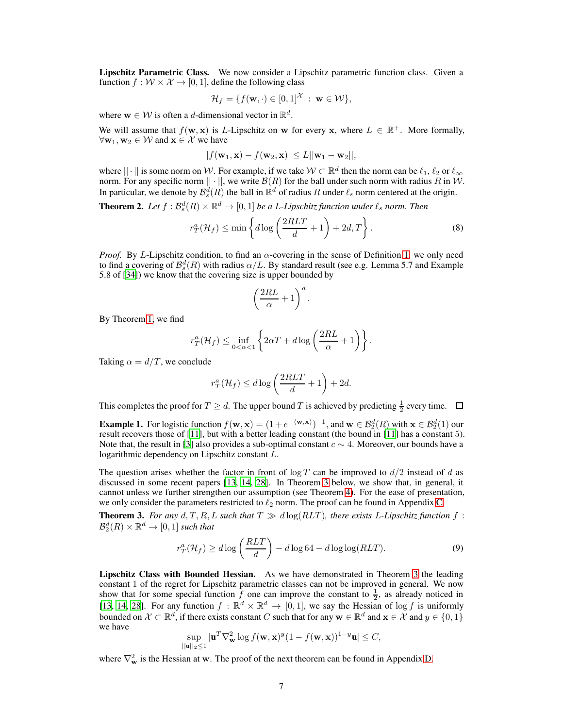Lipschitz Parametric Class. We now consider a Lipschitz parametric function class. Given a function  $f: W \times \mathcal{X} \rightarrow [0, 1]$ , define the following class

$$
\mathcal{H}_f = \{f(\mathbf{w}, \cdot) \in [0,1]^\mathcal{X} : \mathbf{w} \in \mathcal{W}\},\
$$

where  $\mathbf{w} \in \mathcal{W}$  is often a *d*-dimensional vector in  $\mathbb{R}^d$ .

We will assume that  $f(\mathbf{w}, \mathbf{x})$  is L-Lipschitz on w for every x, where  $L \in \mathbb{R}^+$ . More formally,  $\forall$ **w**<sub>1</sub>, **w**<sub>2</sub>  $\in$  *W* and **x**  $\in$  *X* we have

$$
|f(\mathbf{w}_1, \mathbf{x}) - f(\mathbf{w}_2, \mathbf{x})| \leq L ||\mathbf{w}_1 - \mathbf{w}_2||,
$$

where  $|| \cdot ||$  is some norm on W. For example, if we take  $W \subset \mathbb{R}^d$  then the norm can be  $\ell_1, \ell_2$  or  $\ell_\infty$ norm. For any specific norm  $|| \cdot ||$ , we write  $\mathcal{B}(R)$  for the ball under such norm with radius R in W. In particular, we denote by  $\mathcal{B}_s^d(R)$  the ball in  $\mathbb{R}^d$  of radius R under  $\ell_s$  norm centered at the origin.

<span id="page-6-0"></span>**Theorem 2.** Let  $f : \mathcal{B}_s^d(R) \times \mathbb{R}^d \to [0,1]$  be a L-Lipschitz function under  $\ell_s$  norm. Then

$$
r_T^a(\mathcal{H}_f) \le \min\left\{d\log\left(\frac{2RLT}{d} + 1\right) + 2d, T\right\}.
$$
 (8)

*Proof.* By L-Lipschitz condition, to find an α-covering in the sense of Definition [1,](#page-4-3) we only need to find a covering of  $\mathcal{B}_{s}^{d}(R)$  with radius  $\alpha/L$ . By standard result (see e.g. Lemma 5.7 and Example 5.8 of [\[34](#page-10-12)]) we know that the covering size is upper bounded by

$$
\left(\frac{2RL}{\alpha} + 1\right)^d.
$$

By Theorem [1,](#page-4-0) we find

$$
r_T^a(\mathcal{H}_f) \le \inf_{0 < \alpha < 1} \left\{ 2\alpha T + d \log \left( \frac{2RL}{\alpha} + 1 \right) \right\}.
$$

Taking  $\alpha = d/T$ , we conclude

$$
r_T^a(\mathcal{H}_f) \le d \log \left(\frac{2RLT}{d} + 1\right) + 2d.
$$

This completes the proof for  $T \geq d$ . The upper bound T is achieved by predicting  $\frac{1}{2}$  every time.

**Example 1.** For logistic function  $f(\mathbf{w}, \mathbf{x}) = (1 + e^{-\langle \mathbf{w}, \mathbf{x} \rangle})^{-1}$ , and  $\mathbf{w} \in \mathcal{B}_2^d(R)$  with  $\mathbf{x} \in \mathcal{B}_2^d(1)$  our result recovers those of [\[11\]](#page-9-13), but with a better leading constant (the bound in [\[11](#page-9-13)] has a constant 5). Note that, the result in [\[3](#page-9-8)] also provides a sub-optimal constant  $c \sim 4$ . Moreover, our bounds have a logarithmic dependency on Lipschitz constant L.

The question arises whether the factor in front of  $\log T$  can be improved to  $d/2$  instead of d as discussed in some recent papers [\[13,](#page-9-14) [14,](#page-9-15) [28\]](#page-10-8). In Theorem [3](#page-6-1) below, we show that, in general, it cannot unless we further strengthen our assumption (see Theorem [4\)](#page-7-0). For the ease of presentation, we only consider the parameters restricted to  $\ell_2$  norm. The proof can be found in Appendix [C.](#page-12-1)

<span id="page-6-1"></span>**Theorem 3.** For any  $d, T, R, L$  such that  $T \gg d \log(RLT)$ , there exists L-Lipschitz function  $f$ :  $\mathcal{B}_2^d(R)\times\mathbb{R}^d\to[0,1]$  such that

$$
r_T^a(\mathcal{H}_f) \ge d \log \left(\frac{RLT}{d}\right) - d \log 64 - d \log \log (RLT). \tag{9}
$$

Lipschitz Class with Bounded Hessian. As we have demonstrated in Theorem [3](#page-6-1) the leading constant 1 of the regret for Lipschitz parametric classes can not be improved in general. We now show that for some special function  $\hat{f}$  one can improve the constant to  $\frac{1}{2}$ , as already noticed in [\[13](#page-9-14), [14](#page-9-15), [28](#page-10-8)]. For any function  $f : \mathbb{R}^d \times \mathbb{R}^d \to [0, 1]$ , we say the Hessian of log f is uniformly bounded on  $\mathcal{X} \subset \mathbb{R}^d$ , if there exists constant C such that for any  $\mathbf{w} \in \mathbb{R}^d$  and  $\mathbf{x} \in \mathcal{X}$  and  $y \in \{0, 1\}$ we have

$$
\sup_{||\mathbf{u}||_2\leq 1} |\mathbf{u}^T \nabla_{\mathbf{w}}^2 \log f(\mathbf{w}, \mathbf{x})^y (1 - f(\mathbf{w}, \mathbf{x}))^{1-y} \mathbf{u}| \leq C,
$$

where  $\nabla_{\mathbf{w}}^2$  is the Hessian at w. The proof of the next theorem can be found in Appendix [D.](#page-14-0)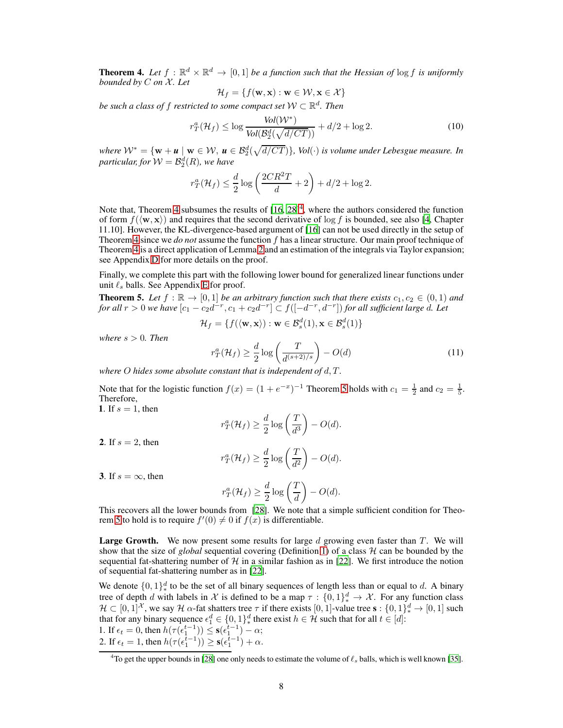<span id="page-7-0"></span>**Theorem 4.** Let  $f : \mathbb{R}^d \times \mathbb{R}^d \to [0,1]$  be a function such that the Hessian of  $\log f$  is uniformly *bounded by* C *on* X*. Let*

$$
\mathcal{H}_f = \{f(\mathbf{w}, \mathbf{x}): \mathbf{w} \in \mathcal{W}, \mathbf{x} \in \mathcal{X}\}
$$

*be such a class of*  $f$  *restricted to some compact set*  $\mathcal{W} \subset \mathbb{R}^d$ *. Then* 

$$
r_T^a(\mathcal{H}_f) \le \log \frac{Vol(\mathcal{W}^*)}{Vol(\mathcal{B}_2^d(\sqrt{d/CT}))} + d/2 + \log 2.
$$
 (10)

*where*  $W^* = \{w + u \mid w \in W, u \in B_2^d(\sqrt{d/CT})\}$ *, Vol*(⋅) *is volume under Lebesgue measure. In* particular, for  $W = \mathcal{B}_2^d(R)$ , we have

$$
r_T^a(\mathcal{H}_f) \le \frac{d}{2}\log\left(\frac{2CR^2T}{d} + 2\right) + d/2 + \log 2.
$$

Note that, Theorem [4](#page-7-0) subsumes the results of  $[16, 28]^4$  $[16, 28]^4$  $[16, 28]^4$  $[16, 28]^4$ , where the authors considered the function of form  $f(\mathbf{w}, \mathbf{x})$  and requires that the second derivative of log f is bounded, see also [\[4](#page-9-17), Chapter 11.10]. However, the KL-divergence-based argument of [\[16](#page-9-12)] can not be used directly in the setup of Theorem [4](#page-7-0) since we *do not* assume the function f has a linear structure. Our main proof technique of Theorem [4](#page-7-0) is a direct application of Lemma [2](#page-4-5) and an estimation of the integrals via Taylor expansion; see Appendix [D](#page-14-0) for more details on the proof.

Finally, we complete this part with the following lower bound for generalized linear functions under unit  $\ell_s$  balls. See Appendix [E](#page-15-0) for proof.

<span id="page-7-1"></span>**Theorem 5.** Let  $f : \mathbb{R} \to [0,1]$  be an arbitrary function such that there exists  $c_1, c_2 \in (0,1)$  and *for all*  $r > 0$  we have  $[c_1 - c_2d^{-r}, c_1 + c_2d^{-r}] \subset f([-d^{-r}, d^{-r}])$  *for all sufficient large d. Let* 

$$
\mathcal{H}_f = \{ f(\langle \mathbf{w}, \mathbf{x} \rangle) : \mathbf{w} \in \mathcal{B}_s^d(1), \mathbf{x} \in \mathcal{B}_s^d(1) \}
$$

*where*  $s > 0$ *. Then* 

$$
r_T^a(\mathcal{H}_f) \ge \frac{d}{2} \log \left( \frac{T}{d^{(s+2)/s}} \right) - O(d) \tag{11}
$$

*where* O *hides some absolute constant that is independent of* d, T *.*

Note that for the logistic function  $f(x) = (1 + e^{-x})^{-1}$  Theorem [5](#page-7-1) holds with  $c_1 = \frac{1}{2}$  and  $c_2 = \frac{1}{5}$ . Therefore,

1. If  $s = 1$ , then

$$
r_T^a(\mathcal{H}_f) \ge \frac{d}{2} \log \left( \frac{T}{d^3} \right) - O(d).
$$

2. If  $s = 2$ , then

$$
r_T^a(\mathcal{H}_f) \ge \frac{d}{2} \log \left( \frac{T}{d^2} \right) - O(d).
$$

3. If  $s = \infty$ , then

$$
r_T^a(\mathcal{H}_f) \ge \frac{d}{2} \log \left(\frac{T}{d}\right) - O(d).
$$

This recovers all the lower bounds from [\[28\]](#page-10-8). We note that a simple sufficient condition for Theo-rem [5](#page-7-1) to hold is to require  $f'(0) \neq 0$  if  $f(x)$  is differentiable.

**Large Growth.** We now present some results for large d growing even faster than T. We will show that the size of *global* sequential covering (Definition [1\)](#page-4-3) of a class  $H$  can be bounded by the sequential fat-shattering number of  $H$  in a similar fashion as in [\[22\]](#page-9-0). We first introduce the notion of sequential fat-shattering number as in [\[22\]](#page-9-0).

We denote  $\{0,1\}^d_*$  to be the set of all binary sequences of length less than or equal to d. A binary tree of depth d with labels in X is defined to be a map  $\tau : \{0,1\}^d_* \to \mathcal{X}$ . For any function class  $\mathcal{H} \subset [0,1]^{\mathcal{X}}$ , we say  $\mathcal{H}$   $\alpha$ -fat shatters tree  $\tau$  if there exists  $[0,1]$ -value tree  $\mathbf{s}: \{0,1\}^d_* \to [0,1]$  such that for any binary sequence  $\epsilon_1^d \in \{0,1\}^d_*$  there exist  $h \in \mathcal{H}$  such that for all  $t \in [d]$ : 1. If  $\epsilon_t = 0$ , then  $h(\tau(\epsilon_1^{t-1})) \leq s(\epsilon_1^{t-1}) - \alpha;$ 2. If  $\epsilon_t = 1$ , then  $h(\tau(\epsilon_1^{t-1})) \ge \mathbf{s}(\epsilon_1^{t-1}) + \alpha$ .

<span id="page-7-2"></span><sup>&</sup>lt;sup>4</sup>To get the upper bounds in [\[28](#page-10-8)] one only needs to estimate the volume of  $\ell_s$  balls, which is well known [\[35\]](#page-10-13).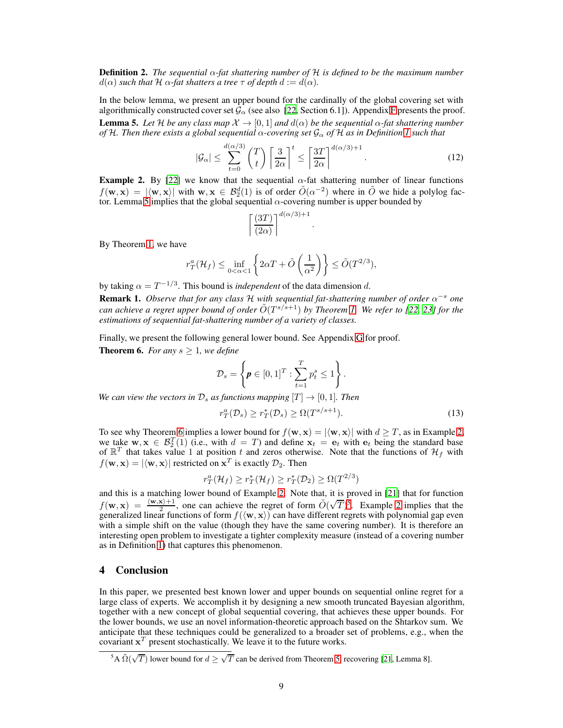Definition 2. *The sequential* α*-fat shattering number of* H *is defined to be the maximum number*  $d(\alpha)$  *such that*  $H \alpha$ -fat *shatters a tree*  $\tau$  *of depth*  $d := d(\alpha)$ *.* 

<span id="page-8-2"></span>In the below lemma, we present an upper bound for the cardinally of the global covering set with algorithmically constructed cover set  $\mathcal{G}_{\alpha}$  (see also [\[22,](#page-9-0) Section 6.1]). Appendix [F](#page-16-0) presents the proof. **Lemma 5.** Let H be any class map  $\mathcal{X} \to [0,1]$  and  $d(\alpha)$  be the sequential  $\alpha$ -fat shattering number *of* H*. Then there exists a global sequential* α*-covering set* G<sup>α</sup> *of* H *as in Definition [1](#page-4-3) such that*

$$
|\mathcal{G}_{\alpha}| \leq \sum_{t=0}^{d(\alpha/3)} \binom{T}{t} \left\lceil \frac{3}{2\alpha} \right\rceil^t \leq \left\lceil \frac{3T}{2\alpha} \right\rceil^{d(\alpha/3)+1}.
$$
 (12)

.

<span id="page-8-1"></span>**Example 2.** By [\[22](#page-9-0)] we know that the sequential  $\alpha$ -fat shattering number of linear functions  $f(\mathbf{w}, \mathbf{x}) = |\langle \mathbf{w}, \mathbf{x} \rangle|$  with  $\mathbf{w}, \mathbf{x} \in \mathcal{B}_2^d(1)$  is of order  $\tilde{O}(\alpha^{-2})$  where in  $\tilde{O}$  we hide a polylog fac-tor. Lemma [5](#page-8-2) implies that the global sequential  $\alpha$ -covering number is upper bounded by

$$
\left\lceil \frac{(3T)}{(2\alpha)} \right\rceil^{d(\alpha/3)+1}
$$

By Theorem [1,](#page-4-0) we have

$$
r_T^a(\mathcal{H}_f) \le \inf_{0 < \alpha < 1} \left\{ 2\alpha T + \tilde{O}\left(\frac{1}{\alpha^2}\right) \right\} \le \tilde{O}(T^{2/3}),
$$

by taking  $\alpha = T^{-1/3}$ . This bound is *independent* of the data dimension d.

**Remark 1.** *Observe that for any class*  $\mathcal{H}$  *with sequential fat-shattering number of order*  $\alpha^{-s}$  *one can achieve a regret upper bound of order*  $\tilde{O}(T^{s/s+1})$  *by Theorem [1.](#page-4-0) We refer to [\[22,](#page-9-0) [23](#page-10-14)] for the estimations of sequential fat-shattering number of a variety of classes.*

Finally, we present the following general lower bound. See Appendix [G](#page-19-0) for proof.

<span id="page-8-0"></span>**Theorem 6.** *For any*  $s \geq 1$ *, we define* 

$$
\mathcal{D}_s = \left\{ \boldsymbol{p} \in [0,1]^T : \sum_{t=1}^T p_t^s \le 1 \right\}.
$$

*We can view the vectors in*  $\mathcal{D}_s$  *as functions mapping*  $[T] \rightarrow [0, 1]$ *. Then* 

$$
r_T^a(\mathcal{D}_s) \ge r_T^*(\mathcal{D}_s) \ge \Omega(T^{s/s+1}).\tag{13}
$$

To see why Theorem [6](#page-8-0) implies a lower bound for  $f(\mathbf{w}, \mathbf{x}) = |\langle \mathbf{w}, \mathbf{x} \rangle|$  with  $d \geq T$ , as in Example [2,](#page-8-1) we take  $\mathbf{w}, \mathbf{x} \in \mathcal{B}_2^T(1)$  (i.e., with  $d = T$ ) and define  $\mathbf{x}_t = \mathbf{e}_t$  with  $\mathbf{e}_t$  being the standard base of  $\mathbb{R}^T$  that takes value 1 at position t and zeros otherwise. Note that the functions of  $\mathcal{H}_f$  with  $f(\mathbf{w}, \mathbf{x}) = |\langle \mathbf{w}, \mathbf{x} \rangle|$  restricted on  $\mathbf{x}^T$  is exactly  $\mathcal{D}_2$ . Then

$$
r_T^a(\mathcal{H}_f) \ge r_T^*(\mathcal{H}_f) \ge r_T^*(\mathcal{D}_2) \ge \Omega(T^{2/3})
$$

and this is a matching lower bound of Example [2.](#page-8-1) Note that, it is proved in [\[21\]](#page-9-9) that for function  $f(\mathbf{w}, \mathbf{x}) = \frac{\langle \mathbf{w}, \mathbf{x} \rangle + 1}{2}$ , one can achieve the regret of form  $\tilde{O}(\sqrt{T})^5$  $\tilde{O}(\sqrt{T})^5$ . Example [2](#page-8-1) implies that the generalized linear functions of form  $f(\langle w, x \rangle)$  can have different regrets with polynomial gap even with a simple shift on the value (though they have the same covering number). It is therefore an interesting open problem to investigate a tighter complexity measure (instead of a covering number as in Definition [1\)](#page-4-3) that captures this phenomenon.

#### 4 Conclusion

In this paper, we presented best known lower and upper bounds on sequential online regret for a large class of experts. We accomplish it by designing a new smooth truncated Bayesian algorithm, together with a new concept of global sequential covering, that achieves these upper bounds. For the lower bounds, we use an novel information-theoretic approach based on the Shtarkov sum. We anticipate that these techniques could be generalized to a broader set of problems, e.g., when the covariant  $x^T$  present stochastically. We leave it to the future works.

<span id="page-8-3"></span><sup>&</sup>lt;sup>5</sup>A  $\tilde{\Omega}(\sqrt{T})$  lower bound for  $d \geq \sqrt{T}$  can be derived from Theorem [5,](#page-7-1) recovering [\[21](#page-9-9), Lemma 8].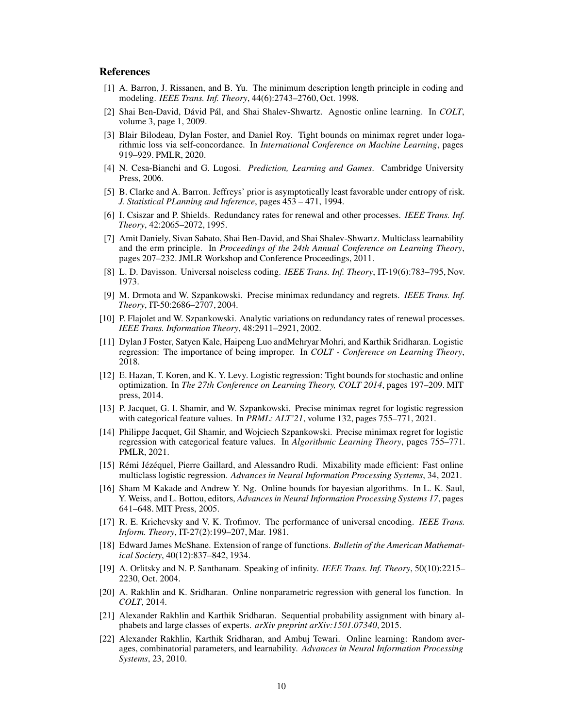## **References**

- <span id="page-9-6"></span>[1] A. Barron, J. Rissanen, and B. Yu. The minimum description length principle in coding and modeling. *IEEE Trans. Inf. Theory*, 44(6):2743–2760, Oct. 1998.
- <span id="page-9-20"></span>[2] Shai Ben-David, Dávid Pál, and Shai Shalev-Shwartz. Agnostic online learning. In *COLT*, volume 3, page 1, 2009.
- <span id="page-9-8"></span>[3] Blair Bilodeau, Dylan Foster, and Daniel Roy. Tight bounds on minimax regret under logarithmic loss via self-concordance. In *International Conference on Machine Learning*, pages 919–929. PMLR, 2020.
- <span id="page-9-17"></span>[4] N. Cesa-Bianchi and G. Lugosi. *Prediction, Learning and Games*. Cambridge University Press, 2006.
- <span id="page-9-7"></span>[5] B. Clarke and A. Barron. Jeffreys' prior is asymptotically least favorable under entropy of risk. *J. Statistical PLanning and Inference*, pages 453 – 471, 1994.
- <span id="page-9-4"></span>[6] I. Csiszar and P. Shields. Redundancy rates for renewal and other processes. *IEEE Trans. Inf. Theory*, 42:2065–2072, 1995.
- <span id="page-9-21"></span>[7] Amit Daniely, Sivan Sabato, Shai Ben-David, and Shai Shalev-Shwartz. Multiclass learnability and the erm principle. In *Proceedings of the 24th Annual Conference on Learning Theory*, pages 207–232. JMLR Workshop and Conference Proceedings, 2011.
- <span id="page-9-3"></span>[8] L. D. Davisson. Universal noiseless coding. *IEEE Trans. Inf. Theory*, IT-19(6):783–795, Nov. 1973.
- <span id="page-9-1"></span>[9] M. Drmota and W. Szpankowski. Precise minimax redundancy and regrets. *IEEE Trans. Inf. Theory*, IT-50:2686–2707, 2004.
- <span id="page-9-5"></span>[10] P. Flajolet and W. Szpankowski. Analytic variations on redundancy rates of renewal processes. *IEEE Trans. Information Theory*, 48:2911–2921, 2002.
- <span id="page-9-13"></span>[11] Dylan J Foster, Satyen Kale, Haipeng Luo andMehryar Mohri, and Karthik Sridharan. Logistic regression: The importance of being improper. In *COLT - Conference on Learning Theory*, 2018.
- <span id="page-9-11"></span>[12] E. Hazan, T. Koren, and K. Y. Levy. Logistic regression: Tight bounds for stochastic and online optimization. In *The 27th Conference on Learning Theory, COLT 2014*, pages 197–209. MIT press, 2014.
- <span id="page-9-14"></span>[13] P. Jacquet, G. I. Shamir, and W. Szpankowski. Precise minimax regret for logistic regression with categorical feature values. In *PRML: ALT'21*, volume 132, pages 755–771, 2021.
- <span id="page-9-15"></span>[14] Philippe Jacquet, Gil Shamir, and Wojciech Szpankowski. Precise minimax regret for logistic regression with categorical feature values. In *Algorithmic Learning Theory*, pages 755–771. PMLR, 2021.
- <span id="page-9-16"></span>[15] Rémi Jézéquel, Pierre Gaillard, and Alessandro Rudi. Mixability made efficient: Fast online multiclass logistic regression. *Advances in Neural Information Processing Systems*, 34, 2021.
- <span id="page-9-12"></span>[16] Sham M Kakade and Andrew Y. Ng. Online bounds for bayesian algorithms. In L. K. Saul, Y. Weiss, and L. Bottou, editors, *Advances in Neural Information Processing Systems 17*, pages 641–648. MIT Press, 2005.
- <span id="page-9-10"></span>[17] R. E. Krichevsky and V. K. Trofimov. The performance of universal encoding. *IEEE Trans. Inform. Theory*, IT-27(2):199–207, Mar. 1981.
- <span id="page-9-19"></span>[18] Edward James McShane. Extension of range of functions. *Bulletin of the American Mathematical Society*, 40(12):837–842, 1934.
- <span id="page-9-2"></span>[19] A. Orlitsky and N. P. Santhanam. Speaking of infinity. *IEEE Trans. Inf. Theory*, 50(10):2215– 2230, Oct. 2004.
- <span id="page-9-18"></span>[20] A. Rakhlin and K. Sridharan. Online nonparametric regression with general los function. In *COLT*, 2014.
- <span id="page-9-9"></span>[21] Alexander Rakhlin and Karthik Sridharan. Sequential probability assignment with binary alphabets and large classes of experts. *arXiv preprint arXiv:1501.07340*, 2015.
- <span id="page-9-0"></span>[22] Alexander Rakhlin, Karthik Sridharan, and Ambuj Tewari. Online learning: Random averages, combinatorial parameters, and learnability. *Advances in Neural Information Processing Systems*, 23, 2010.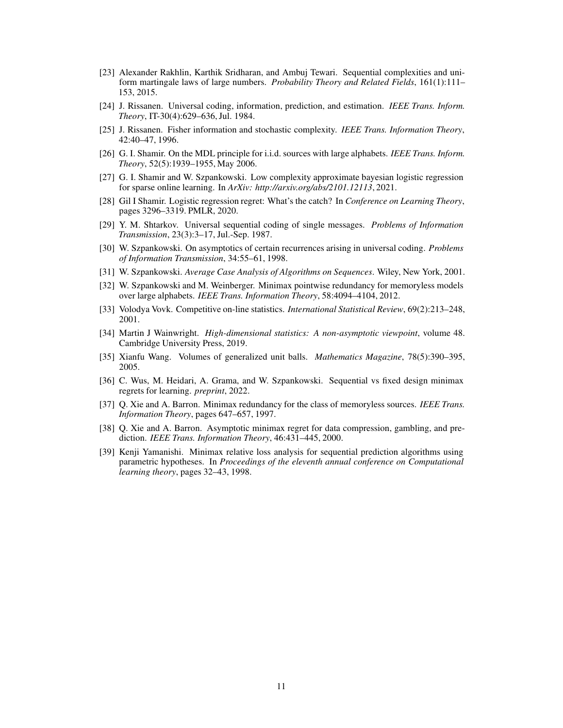- <span id="page-10-14"></span>[23] Alexander Rakhlin, Karthik Sridharan, and Ambuj Tewari. Sequential complexities and uniform martingale laws of large numbers. *Probability Theory and Related Fields*, 161(1):111– 153, 2015.
- <span id="page-10-9"></span>[24] J. Rissanen. Universal coding, information, prediction, and estimation. *IEEE Trans. Inform. Theory*, IT-30(4):629–636, Jul. 1984.
- <span id="page-10-1"></span>[25] J. Rissanen. Fisher information and stochastic complexity. *IEEE Trans. Information Theory*, 42:40–47, 1996.
- <span id="page-10-2"></span>[26] G. I. Shamir. On the MDL principle for i.i.d. sources with large alphabets. *IEEE Trans. Inform. Theory*, 52(5):1939–1955, May 2006.
- <span id="page-10-11"></span>[27] G. I. Shamir and W. Szpankowski. Low complexity approximate bayesian logistic regression for sparse online learning. In *ArXiv: http://arxiv.org/abs/2101.12113*, 2021.
- <span id="page-10-8"></span>[28] Gil I Shamir. Logistic regression regret: What's the catch? In *Conference on Learning Theory*, pages 3296–3319. PMLR, 2020.
- <span id="page-10-6"></span>[29] Y. M. Shtarkov. Universal sequential coding of single messages. *Problems of Information Transmission*, 23(3):3–17, Jul.-Sep. 1987.
- <span id="page-10-3"></span>[30] W. Szpankowski. On asymptotics of certain recurrences arising in universal coding. *Problems of Information Transmission*, 34:55–61, 1998.
- <span id="page-10-15"></span>[31] W. Szpankowski. *Average Case Analysis of Algorithms on Sequences*. Wiley, New York, 2001.
- <span id="page-10-7"></span>[32] W. Szpankowski and M. Weinberger. Minimax pointwise redundancy for memoryless models over large alphabets. *IEEE Trans. Information Theory*, 58:4094–4104, 2012.
- <span id="page-10-10"></span>[33] Volodya Vovk. Competitive on-line statistics. *International Statistical Review*, 69(2):213–248, 2001.
- <span id="page-10-12"></span>[34] Martin J Wainwright. *High-dimensional statistics: A non-asymptotic viewpoint*, volume 48. Cambridge University Press, 2019.
- <span id="page-10-13"></span>[35] Xianfu Wang. Volumes of generalized unit balls. *Mathematics Magazine*, 78(5):390–395, 2005.
- <span id="page-10-0"></span>[36] C. Wus, M. Heidari, A. Grama, and W. Szpankowski. Sequential vs fixed design minimax regrets for learning. *preprint*, 2022.
- <span id="page-10-4"></span>[37] Q. Xie and A. Barron. Minimax redundancy for the class of memoryless sources. *IEEE Trans. Information Theory*, pages 647–657, 1997.
- <span id="page-10-5"></span>[38] Q. Xie and A. Barron. Asymptotic minimax regret for data compression, gambling, and prediction. *IEEE Trans. Information Theory*, 46:431–445, 2000.
- <span id="page-10-16"></span>[39] Kenji Yamanishi. Minimax relative loss analysis for sequential prediction algorithms using parametric hypotheses. In *Proceedings of the eleventh annual conference on Computational learning theory*, pages 32–43, 1998.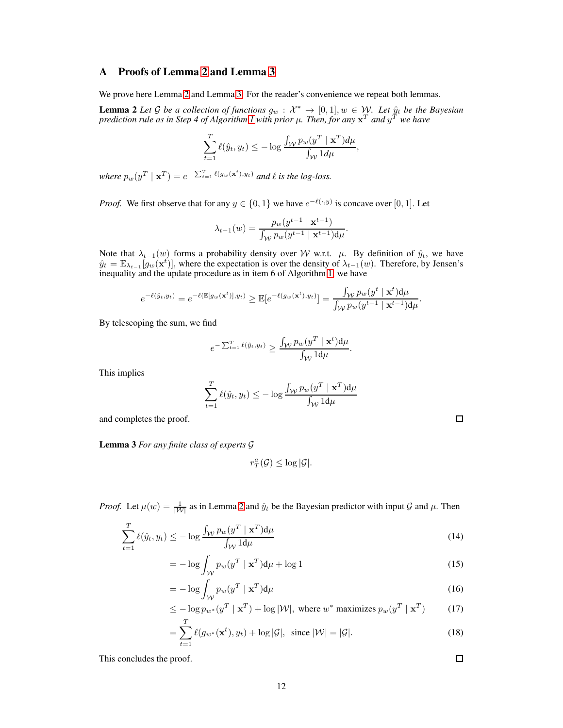# <span id="page-11-0"></span>A Proofs of Lemma [2](#page-4-5) and Lemma [3](#page-4-4)

We prove here Lemma [2](#page-4-5) and Lemma [3.](#page-4-4) For the reader's convenience we repeat both lemmas.

**Lemma 2** Let G be a collection of functions  $g_w : \mathcal{X}^* \to [0,1], w \in \mathcal{W}$ . Let  $\hat{y}_t$  be the Bayesian prediction rule as in Step 4 of Algorithm [1](#page-4-1) with prior  $\mu$ . Then, for any  $\mathbf{x}^T$  and  $y^T$  we have

$$
\sum_{t=1}^T \ell(\hat{y}_t, y_t) \le -\log \frac{\int_{\mathcal{W}} p_w(y^T \mid \mathbf{x}^T) d\mu}{\int_{\mathcal{W}} 1 d\mu},
$$

where  $p_w(y^T | \mathbf{x}^T) = e^{-\sum_{t=1}^T \ell(g_w(\mathbf{x}^t), y_t)}$  and  $\ell$  is the log-loss.

*Proof.* We first observe that for any  $y \in \{0, 1\}$  we have  $e^{-\ell(\cdot, y)}$  is concave over [0, 1]. Let

$$
\lambda_{t-1}(w) = \frac{p_w(y^{t-1} \mid \mathbf{x}^{t-1})}{\int_{\mathcal{W}} p_w(y^{t-1} \mid \mathbf{x}^{t-1}) d\mu}.
$$

Note that  $\lambda_{t-1}(w)$  forms a probability density over W w.r.t.  $\mu$ . By definition of  $\hat{y}_t$ , we have  $\hat{y}_t = \mathbb{E}_{\lambda_{t-1}}[g_w(\mathbf{x}^t)]$ , where the expectation is over the density of  $\lambda_{t-1}(w)$ . Therefore, by Jensen's inequality and the update procedure as in item 6 of Algorithm [1,](#page-4-1) we have

$$
e^{-\ell(\hat{y}_t,y_t)} = e^{-\ell(\mathbb{E}[g_w(\mathbf{x}^t)],y_t)} \geq \mathbb{E}[e^{-\ell(g_w(\mathbf{x}^t),y_t)}] = \frac{\int_{\mathcal{W}} p_w(y^t \mid \mathbf{x}^t) d\mu}{\int_{\mathcal{W}} p_w(y^{t-1} \mid \mathbf{x}^{t-1}) d\mu}.
$$

By telescoping the sum, we find

$$
e^{-\sum_{t=1}^T \ell(\hat{y}_t, y_t)} \geq \frac{\int_{\mathcal{W}} p_w(y^T\mid \mathbf{x}^t)\mathrm{d} \mu}{\int_{\mathcal{W}} 1\mathrm{d} \mu}
$$

.

This implies

$$
\sum_{t=1}^{T} \ell(\hat{y}_t, y_t) \le -\log \frac{\int_{\mathcal{W}} p_w(y^T \mid \mathbf{x}^T) d\mu}{\int_{\mathcal{W}} 1 d\mu}
$$

and completes the proof.

Lemma 3 *For any finite class of experts* G

$$
r^a_T(\mathcal{G}) \leq \log |\mathcal{G}|.
$$

*Proof.* Let  $\mu(w) = \frac{1}{|W|}$  as in Lemma [2](#page-4-5) and  $\hat{y}_t$  be the Bayesian predictor with input G and  $\mu$ . Then

$$
\sum_{t=1}^{T} \ell(\hat{y}_t, y_t) \le -\log \frac{\int_{\mathcal{W}} p_w(y^T \mid \mathbf{x}^T) d\mu}{\int_{\mathcal{W}} 1 d\mu} \tag{14}
$$

$$
= -\log \int_{\mathcal{W}} p_w(y^T \mid \mathbf{x}^T) \mathrm{d}\mu + \log 1 \tag{15}
$$

$$
= -\log \int_{\mathcal{W}} p_w(y^T \mid \mathbf{x}^T) d\mu \tag{16}
$$

$$
\leq -\log p_{w^*}(y^T \mid \mathbf{x}^T) + \log |\mathcal{W}|, \text{ where } w^* \text{ maximizes } p_w(y^T \mid \mathbf{x}^T) \tag{17}
$$

$$
=\sum_{t=1}^{1} \ell(g_{w^*}(\mathbf{x}^t), y_t) + \log |\mathcal{G}|, \text{ since } |\mathcal{W}| = |\mathcal{G}|.
$$
\n(18)

This concludes the proof.

 $\Box$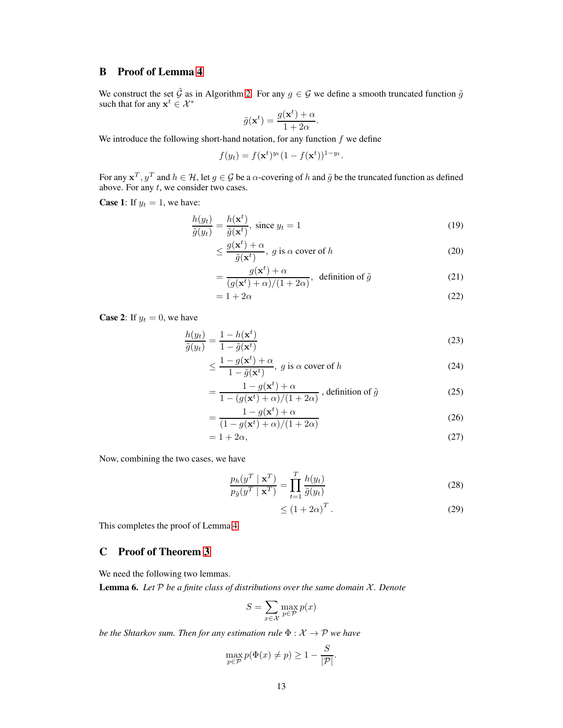# <span id="page-12-0"></span>B Proof of Lemma [4](#page-5-1)

We construct the set  $\tilde{G}$  as in Algorithm [2.](#page-5-0) For any  $g \in G$  we define a smooth truncated function  $\tilde{g}$ such that for any  $\mathbf{x}^t \in \mathcal{X}^*$ 

$$
\tilde{g}(\mathbf{x}^t) = \frac{g(\mathbf{x}^t) + \alpha}{1 + 2\alpha}.
$$

We introduce the following short-hand notation, for any function  $f$  we define

$$
f(y_t) = f(\mathbf{x}^t)^{y_t} (1 - f(\mathbf{x}^t))^{1 - y_t}.
$$

For any  $x^T$ ,  $y^T$  and  $h \in \mathcal{H}$ , let  $g \in \mathcal{G}$  be a  $\alpha$ -covering of  $h$  and  $\tilde{g}$  be the truncated function as defined above. For any  $t$ , we consider two cases.

**Case 1:** If  $y_t = 1$ , we have:

$$
\frac{h(y_t)}{\tilde{g}(y_t)} = \frac{h(\mathbf{x}^t)}{\tilde{g}(\mathbf{x}^t)}, \text{ since } y_t = 1
$$
\n(19)

$$
\leq \frac{g(\mathbf{x}^t) + \alpha}{\tilde{g}(\mathbf{x}^t)}, \ g \text{ is } \alpha \text{ cover of } h \tag{20}
$$

$$
= \frac{g(\mathbf{x}^t) + \alpha}{(g(\mathbf{x}^t) + \alpha)/(1 + 2\alpha)}, \text{ definition of } \tilde{g}
$$
 (21)

$$
=1+2\alpha \tag{22}
$$

**Case 2:** If  $y_t = 0$ , we have

$$
\frac{h(y_t)}{\tilde{g}(y_t)} = \frac{1 - h(\mathbf{x}^t)}{1 - \tilde{g}(\mathbf{x}^t)}\tag{23}
$$

$$
\leq \frac{1 - g(\mathbf{x}^t) + \alpha}{1 - \tilde{g}(\mathbf{x}^t)}, \ g \text{ is } \alpha \text{ cover of } h \tag{24}
$$

$$
= \frac{1 - g(\mathbf{x}^t) + \alpha}{1 - (g(\mathbf{x}^t) + \alpha)/(1 + 2\alpha)}, \text{ definition of } \tilde{g}
$$
 (25)

$$
=\frac{1-g(\mathbf{x}^t)+\alpha}{(1-g(\mathbf{x}^t)+\alpha)/(1+2\alpha)}
$$
\n(26)

$$
=1+2\alpha,\tag{27}
$$

Now, combining the two cases, we have

$$
\frac{p_h(y^T \mid \mathbf{x}^T)}{p_{\tilde{g}}(y^T \mid \mathbf{x}^T)} = \prod_{t=1}^T \frac{h(y_t)}{\tilde{g}(y_t)}
$$
\n(28)

$$
\leq (1 + 2\alpha)^T. \tag{29}
$$

<span id="page-12-1"></span>This completes the proof of Lemma [4.](#page-5-1)

## C Proof of Theorem [3](#page-6-1)

We need the following two lemmas.

<span id="page-12-2"></span>Lemma 6. *Let* P *be a finite class of distributions over the same domain* X*. Denote*

$$
S = \sum_{x \in \mathcal{X}} \max_{p \in \mathcal{P}} p(x)
$$

*be the Shtarkov sum. Then for any estimation rule*  $\Phi : \mathcal{X} \to \mathcal{P}$  *we have* 

$$
\max_{p \in \mathcal{P}} p(\Phi(x) \neq p) \ge 1 - \frac{S}{|\mathcal{P}|}.
$$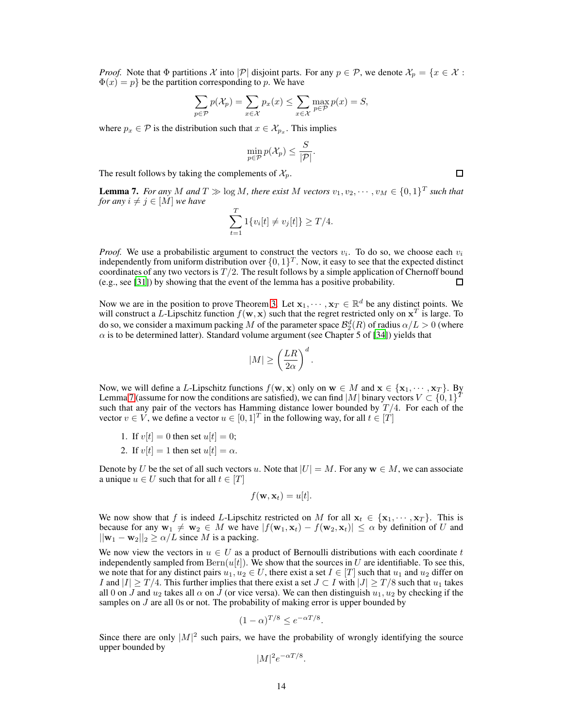*Proof.* Note that  $\Phi$  partitions X into |P| disjoint parts. For any  $p \in \mathcal{P}$ , we denote  $\mathcal{X}_p = \{x \in \mathcal{X}$ :  $\Phi(x) = p$  be the partition corresponding to p. We have

$$
\sum_{p \in \mathcal{P}} p(\mathcal{X}_p) = \sum_{x \in \mathcal{X}} p_x(x) \le \sum_{x \in \mathcal{X}} \max_{p \in \mathcal{P}} p(x) = S,
$$

where  $p_x \in \mathcal{P}$  is the distribution such that  $x \in \mathcal{X}_{p_x}$ . This implies

$$
\min_{p \in \mathcal{P}} p(\mathcal{X}_p) \leq \frac{S}{|\mathcal{P}|}.
$$

The result follows by taking the complements of  $\mathcal{X}_p$ .

<span id="page-13-0"></span>**Lemma 7.** *For any M and*  $T \gg \log M$ *, there exist M vectors*  $v_1, v_2, \dots, v_M \in \{0, 1\}^T$  *such that for any*  $i \neq j \in [M]$  *we have* 

$$
\sum_{t=1}^{T} 1\{v_i[t] \neq v_j[t]\} \geq T/4.
$$

*Proof.* We use a probabilistic argument to construct the vectors  $v_i$ . To do so, we choose each  $v_i$ independently from uniform distribution over  $\{0, 1\}^T$ . Now, it easy to see that the expected distinct coordinates of any two vectors is  $T/2$ . The result follows by a simple application of Chernoff bound (e.g., see [\[31\]](#page-10-15)) by showing that the event of the lemma has a positive probability. П

Now we are in the position to prove Theorem [3.](#page-6-1) Let  $x_1, \dots, x_T \in \mathbb{R}^d$  be any distinct points. We will construct a L-Lipschitz function  $f(\mathbf{w}, \mathbf{x})$  such that the regret restricted only on  $\mathbf{x}^T$  is large. To do so, we consider a maximum packing M of the parameter space  $\mathcal{B}_2^d(R)$  of radius  $\alpha/L > 0$  (where  $\alpha$  is to be determined latter). Standard volume argument (see Chapter 5 of [\[34](#page-10-12)]) yields that

$$
|M|\geq \left(\frac{LR}{2\alpha}\right)^d.
$$

Now, we will define a L-Lipschitz functions  $f(\mathbf{w}, \mathbf{x})$  only on  $\mathbf{w} \in M$  and  $\mathbf{x} \in {\{\mathbf{x}_1, \cdots, \mathbf{x}_T\}}$ . By Lemma [7](#page-13-0) (assume for now the conditions are satisfied), we can find |M| binary vectors  $V \subset \{0,1\}^T$ such that any pair of the vectors has Hamming distance lower bounded by  $T/4$ . For each of the vector  $v \in V$ , we define a vector  $u \in [0,1]^T$  in the following way, for all  $t \in [T]$ 

- 1. If  $v[t] = 0$  then set  $u[t] = 0$ ;
- 2. If  $v[t] = 1$  then set  $u[t] = \alpha$ .

Denote by U be the set of all such vectors u. Note that  $|U| = M$ . For any  $w \in M$ , we can associate a unique  $u \in U$  such that for all  $t \in [T]$ 

$$
f(\mathbf{w}, \mathbf{x}_t) = u[t].
$$

We now show that f is indeed L-Lipschitz restricted on M for all  $x_t \in \{x_1, \dots, x_T\}$ . This is because for any  $w_1 \neq w_2 \in M$  we have  $|f(w_1, x_t) - f(w_2, x_t)| \leq \alpha$  by definition of U and  $||\mathbf{w}_1 - \mathbf{w}_2||_2 \ge \alpha/L$  since M is a packing.

We now view the vectors in  $u \in U$  as a product of Bernoulli distributions with each coordinate t independently sampled from  $\text{Bern}(u[t])$ . We show that the sources in U are identifiable. To see this, we note that for any distinct pairs  $u_1, u_2 \in U$ , there exist a set  $I \in [T]$  such that  $u_1$  and  $u_2$  differ on I and  $|I| \geq T/4$ . This further implies that there exist a set  $J \subset I$  with  $|J| \geq T/8$  such that  $u_1$  takes all 0 on J and  $u_2$  takes all  $\alpha$  on J (or vice versa). We can then distinguish  $u_1, u_2$  by checking if the samples on  $J$  are all 0s or not. The probability of making error is upper bounded by

$$
(1 - \alpha)^{T/8} \le e^{-\alpha T/8}
$$

.

Since there are only  $|M|^2$  such pairs, we have the probability of wrongly identifying the source upper bounded by

$$
|M|^2 e^{-\alpha T/8}.
$$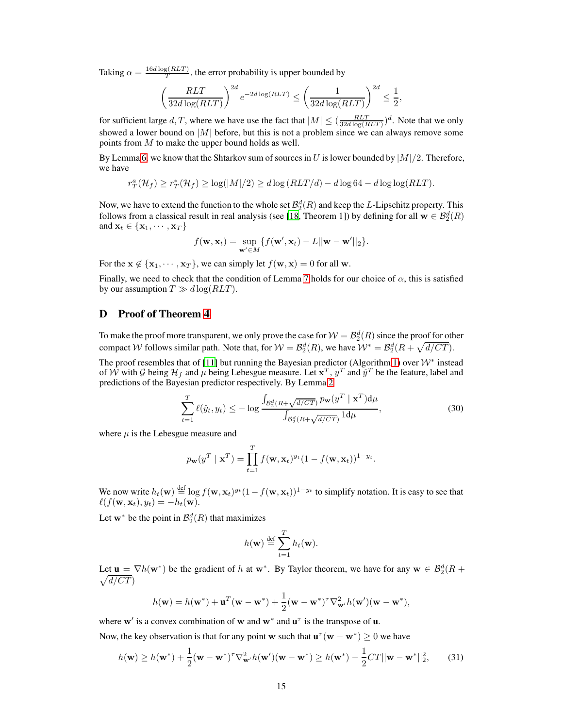Taking  $\alpha = \frac{16d \log(RLT)}{T}$  $T^{(RLI)}$ , the error probability is upper bounded by

$$
\left(\frac{RLT}{32d\log(RLT)}\right)^{2d} e^{-2d\log(RLT)} \le \left(\frac{1}{32d\log(RLT)}\right)^{2d} \le \frac{1}{2},
$$

for sufficient large d, T, where we have use the fact that  $|M| \le (\frac{RLT}{32d \log(RLT)})^d$ . Note that we only showed a lower bound on  $|M|$  before, but this is not a problem since we can always remove some points from M to make the upper bound holds as well.

By Lemma [6,](#page-12-2) we know that the Shtarkov sum of sources in U is lower bounded by  $|M|/2$ . Therefore, we have

$$
r_T^a(\mathcal{H}_f) \ge r_T^*(\mathcal{H}_f) \ge \log(|M|/2) \ge d \log(RLT/d) - d \log 64 - d \log \log(RLT).
$$

Now, we have to extend the function to the whole set  $\mathcal{B}_2^d(R)$  and keep the L-Lipschitz property. This follows from a classical result in real analysis (see [\[18,](#page-9-19) Theorem 1]) by defining for all  $\mathbf{w} \in \mathcal{B}_2^d(R)$ and  $\mathbf{x}_t \in \{\mathbf{x}_1, \cdots, \mathbf{x}_T\}$ 

$$
f(\mathbf{w}, \mathbf{x}_t) = \sup_{\mathbf{w}' \in M} \{ f(\mathbf{w}', \mathbf{x}_t) - L ||\mathbf{w} - \mathbf{w}'||_2 \}.
$$

For the  $x \notin {\mathbf{x}_1, \cdots, \mathbf{x}_T}$ , we can simply let  $f(\mathbf{w}, \mathbf{x}) = 0$  for all w.

Finally, we need to check that the condition of Lemma [7](#page-13-0) holds for our choice of  $\alpha$ , this is satisfied by our assumption  $T \gg d \log(RLT)$ .

#### <span id="page-14-0"></span>D Proof of Theorem [4](#page-7-0)

To make the proof more transparent, we only prove the case for  $W = \mathcal{B}_2^d(R)$  since the proof for other compact W follows similar path. Note that, for  $W = \mathcal{B}_2^d(R)$ , we have  $W^* = \mathcal{B}_2^d(R + \sqrt{d/CT})$ .

The proof resembles that of [\[11\]](#page-9-13) but running the Bayesian predictor (Algorithm [1\)](#page-4-1) over  $W^*$  instead of  $\hat{W}$  with G being  $\mathcal{H}_f$  and  $\mu$  being Lebesgue measure. Let  $\mathbf{x}^T$ ,  $y^T$  and  $\hat{y}^T$  be the feature, label and predictions of the Bayesian predictor respectively. By Lemma [2](#page-4-5)

$$
\sum_{t=1}^{T} \ell(\hat{y}_t, y_t) \le -\log \frac{\int_{\mathcal{B}_2^d(R+\sqrt{d/CT})} p_{\mathbf{w}}(y^T \mid \mathbf{x}^T) d\mu}{\int_{\mathcal{B}_2^d(R+\sqrt{d/CT})} 1 d\mu},
$$
\n(30)

where  $\mu$  is the Lebesgue measure and

$$
p_{\mathbf{w}}(y^T \mid \mathbf{x}^T) = \prod_{t=1}^T f(\mathbf{w}, \mathbf{x}_t)^{y_t} (1 - f(\mathbf{w}, \mathbf{x}_t))^{1 - y_t}.
$$

We now write  $h_t(\mathbf{w}) \stackrel{\text{def}}{=} \log f(\mathbf{w}, \mathbf{x}_t)^{y_t} (1 - f(\mathbf{w}, \mathbf{x}_t))^{1-y_t}$  to simplify notation. It is easy to see that  $\ell(f(\mathbf{w}, \mathbf{x}_t), y_t) = -h_t(\mathbf{w}).$ 

Let  $w^*$  be the point in  $\mathcal{B}_2^d(R)$  that maximizes

$$
h(\mathbf{w}) \stackrel{\text{def}}{=} \sum_{t=1}^{T} h_t(\mathbf{w}).
$$

Let  $\mathbf{u} = \nabla h(\mathbf{w}^*)$  be the gradient of h at  $\mathbf{w}^*$ . By Taylor theorem, we have for any  $\mathbf{w} \in \mathcal{B}_2^d(R +$  $\sqrt{d/CT}$ 

$$
h(\mathbf{w}) = h(\mathbf{w}^*) + \mathbf{u}^T(\mathbf{w} - \mathbf{w}^*) + \frac{1}{2}(\mathbf{w} - \mathbf{w}^*)^T \nabla_{\mathbf{w}'}^2 h(\mathbf{w}')(\mathbf{w} - \mathbf{w}^*),
$$

where w' is a convex combination of w and  $w^*$  and  $u^{\dagger}$  is the transpose of **u**.

Now, the key observation is that for any point w such that  $\mathbf{u}^\tau(\mathbf{w} - \mathbf{w}^*) \ge 0$  we have

<span id="page-14-1"></span>
$$
h(\mathbf{w}) \ge h(\mathbf{w}^*) + \frac{1}{2}(\mathbf{w} - \mathbf{w}^*)^{\tau} \nabla_{\mathbf{w}'}^2 h(\mathbf{w}')(\mathbf{w} - \mathbf{w}^*) \ge h(\mathbf{w}^*) - \frac{1}{2}CT||\mathbf{w} - \mathbf{w}^*||_2^2,\tag{31}
$$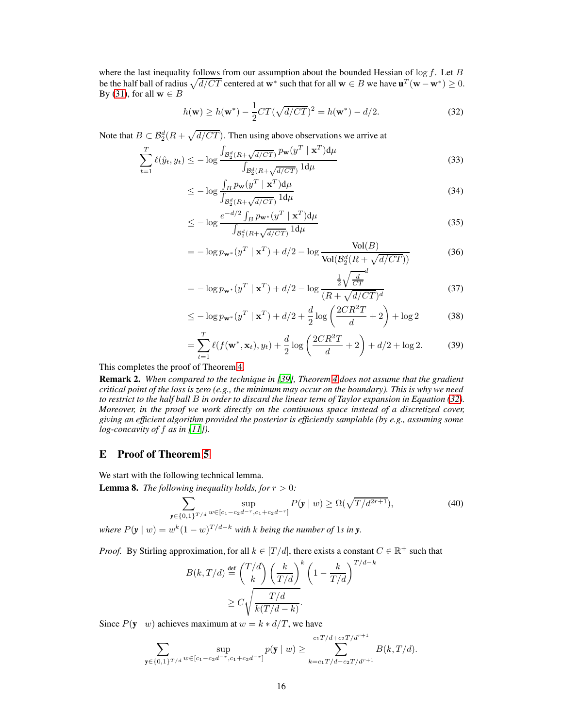where the last inequality follows from our assumption about the bounded Hessian of  $\log f$ . Let B be the half ball of radius  $\sqrt{d/CT}$  centered at w<sup>∗</sup> such that for all  $\mathbf{w} \in B$  we have  $\mathbf{u}^T(\mathbf{w} - \mathbf{w}^*) \ge 0$ . By [\(31\)](#page-14-1), for all  $\mathbf{w} \in B$ 

<span id="page-15-1"></span>
$$
h(\mathbf{w}) \ge h(\mathbf{w}^*) - \frac{1}{2}CT(\sqrt{d/CT})^2 = h(\mathbf{w}^*) - d/2.
$$
 (32)

Note that  $B \subset \mathcal{B}_2^d(R + \sqrt{d/CT})$ . Then using above observations we arrive at

$$
\sum_{t=1}^{T} \ell(\hat{y}_t, y_t) \le -\log \frac{\int_{\mathcal{B}_2^d(R+\sqrt{d/CT})} p_{\mathbf{w}}(y^T \mid \mathbf{x}^T) d\mu}{\int_{\mathcal{B}_2^d(R+\sqrt{d/CT})} 1 d\mu}
$$
(33)

$$
\leq -\log \frac{\int_{B} p_{\mathbf{w}}(y^T \mid \mathbf{x}^T) d\mu}{\int_{\mathcal{B}_2^d(R + \sqrt{d/CT})} 1 d\mu} \tag{34}
$$

$$
\leq -\log \frac{e^{-d/2} \int_B p_{\mathbf{w}^*}(y^T \mid \mathbf{x}^T) d\mu}{\int_{\mathcal{B}_2^d (R + \sqrt{d/CT})} 1 d\mu}
$$
\n(35)

$$
= -\log p_{\mathbf{w}^*}(y^T \mid \mathbf{x}^T) + d/2 - \log \frac{\text{Vol}(B)}{\text{Vol}(\mathcal{B}_2^d(R + \sqrt{d/CT}))}
$$
(36)

$$
= -\log p_{\mathbf{w}^*}(y^T \mid \mathbf{x}^T) + d/2 - \log \frac{\frac{1}{2}\sqrt{\frac{d}{CT}}}{(R + \sqrt{d/CT})^d}
$$
(37)

$$
\leq -\log p_{\mathbf{w}^*}(y^T \mid \mathbf{x}^T) + d/2 + \frac{d}{2}\log\left(\frac{2CR^2T}{d} + 2\right) + \log 2\tag{38}
$$

$$
= \sum_{t=1}^{T} \ell(f(\mathbf{w}^*, \mathbf{x}_t), y_t) + \frac{d}{2} \log \left( \frac{2CR^2T}{d} + 2 \right) + d/2 + \log 2.
$$
 (39)

This completes the proof of Theorem [4.](#page-7-0)

Remark 2. *When compared to the technique in [\[39\]](#page-10-16), Theorem [4](#page-7-0) does not assume that the gradient critical point of the loss is zero (e.g., the minimum may occur on the boundary). This is why we need to restrict to the half ball* B *in order to discard the linear term of Taylor expansion in Equation [\(32\)](#page-15-1). Moreover, in the proof we work directly on the continuous space instead of a discretized cover, giving an efficient algorithm provided the posterior is efficiently samplable (by e.g., assuming some log-concavity of* f *as in [\[11\]](#page-9-13)).*

## <span id="page-15-0"></span>E Proof of Theorem [5](#page-7-1)

We start with the following technical lemma.

<span id="page-15-3"></span>**Lemma 8.** *The following inequality holds, for*  $r > 0$ *:* 

<span id="page-15-2"></span>
$$
\sum_{\mathbf{y}\in\{0,1\}^{T/d}}\sup_{w\in[c_1-c_2d^{-r},c_1+c_2d^{-r}]}P(\mathbf{y}\mid w)\ge\Omega(\sqrt{T/d^{2r+1}}),\tag{40}
$$

where  $P(\mathbf{y} \mid w) = w^k (1 - w)^{T/d - k}$  with k being the number of 1*s* in **y**.

*Proof.* By Stirling approximation, for all  $k \in [T/d]$ , there exists a constant  $C \in \mathbb{R}^+$  such that

$$
B(k, T/d) \stackrel{\text{def}}{=} \binom{T/d}{k} \left(\frac{k}{T/d}\right)^k \left(1 - \frac{k}{T/d}\right)^{T/d - k}
$$

$$
\geq C \sqrt{\frac{T/d}{k(T/d - k)}}.
$$

Since  $P(y \mid w)$  achieves maximum at  $w = k * d/T$ , we have

$$
\sum_{\mathbf{y}\in\{0,1\}^{T/d}}\sup_{w\in[c_1-c_2d^{-r},c_1+c_2d^{-r}]}p(\mathbf{y}\mid w)\geq \sum_{k=c_1T/d-c_2T/d^{r+1}}^{c_1T/d+c_2T/d^{r+1}}B(k,T/d).
$$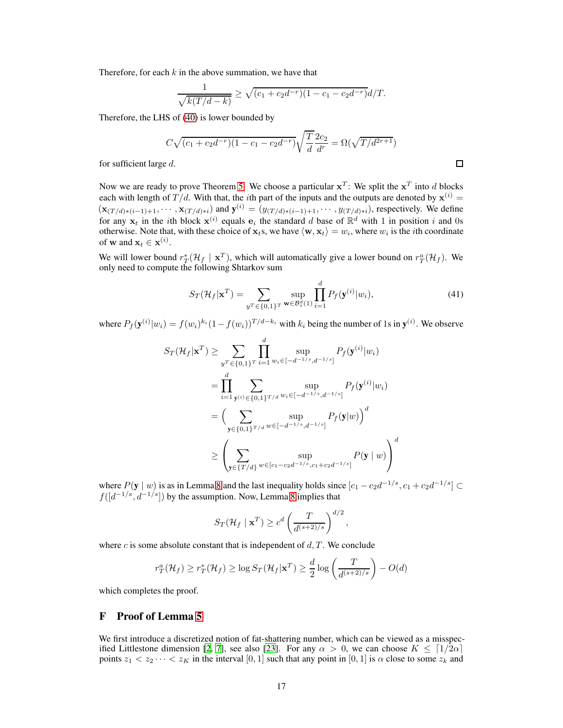Therefore, for each  $k$  in the above summation, we have that

$$
\frac{1}{\sqrt{k(T/d-k)}} \ge \sqrt{(c_1+c_2d^{-r})(1-c_1-c_2d^{-r})}d/T.
$$

Therefore, the LHS of [\(40\)](#page-15-2) is lower bounded by

$$
C\sqrt{(c_1+c_2d^{-r})(1-c_1-c_2d^{-r})}\sqrt{\frac{T}{d}}\frac{2c_2}{d^r} = \Omega(\sqrt{T/d^{2r+1}})
$$

for sufficient large d.

Now we are ready to prove Theorem [5.](#page-7-1) We choose a particular  $x^T$ : We split the  $x^T$  into d blocks each with length of  $T/d$ . With that, the *i*th part of the inputs and the outputs are denoted by  $x^{(i)}$  =  $(\mathbf{x}_{(T/d)*(i-1)+1},\cdots,\mathbf{x}_{(T/d)*i})$  and  $\mathbf{y}^{(i)}=(y_{(T/d)*(i-1)+1},\cdots,y_{(T/d)*i})$ , respectively. We define for any  $x_t$  in the *i*th block  $x^{(i)}$  equals  $e_i$  the standard d base of  $\mathbb{R}^d$  with 1 in position i and 0s otherwise. Note that, with these choice of  $\mathbf{x}_t$ s, we have  $\langle \mathbf{w}, \mathbf{x}_t \rangle = w_i$ , where  $w_i$  is the *i*th coordinate of **w** and  $\mathbf{x}_t \in \mathbf{x}^{(i)}$ .

We will lower bound  $r_T^*(\mathcal{H}_f | \mathbf{x}^T)$ , which will automatically give a lower bound on  $r_T^a(\mathcal{H}_f)$ . We only need to compute the following Shtarkov sum

$$
S_T(\mathcal{H}_f|\mathbf{x}^T) = \sum_{y^T \in \{0,1\}^T} \sup_{\mathbf{w} \in \mathcal{B}_s^d(1)} \prod_{i=1}^d P_f(\mathbf{y}^{(i)}|w_i),\tag{41}
$$

 $\Box$ 

where  $P_f(\mathbf{y}^{(i)}|w_i) = f(w_i)^{k_i} (1 - f(w_i))^{T/d - k_i}$  with  $k_i$  being the number of 1s in  $\mathbf{y}^{(i)}$ . We observe

$$
S_T(\mathcal{H}_f|\mathbf{x}^T) \ge \sum_{y^T \in \{0,1\}^T} \prod_{i=1}^d \sup_{w_i \in [-d^{-1/s}, d^{-1/s}]} P_f(\mathbf{y}^{(i)}|w_i)
$$
  
\n
$$
= \prod_{i=1}^d \sum_{\mathbf{y}^{(i)} \in \{0,1\}^{T/d}} \sup_{w_i \in [-d^{-1/s}, d^{-1/s}]} P_f(\mathbf{y}^{(i)}|w_i)
$$
  
\n
$$
= \Big( \sum_{\mathbf{y} \in \{0,1\}^{T/d}} \sup_{w \in [-d^{-1/s}, d^{-1/s}]} P_f(\mathbf{y}|w) \Big)^d
$$
  
\n
$$
\ge \left( \sum_{\mathbf{y} \in \{T/d\}} \sup_{w \in [c_1 - c_2 d^{-1/s}, c_1 + c_2 d^{-1/s}]} P(\mathbf{y} | w) \right)^d
$$

where  $P(y | w)$  is as in Lemma [8](#page-15-3) and the last inequality holds since  $[c_1 - c_2d^{-1/s}, c_1 + c_2d^{-1/s}] \subset$  $f([d^{-1/s}, d^{-1/s}])$  by the assumption. Now, Lemma [8](#page-15-3) implies that

$$
S_T(\mathcal{H}_f \mid \mathbf{x}^T) \ge c^d \left(\frac{T}{d^{(s+2)/s}}\right)^{d/2},
$$

where c is some absolute constant that is independent of  $d, T$ . We conclude

$$
r_T^a(\mathcal{H}_f) \ge r_T^*(\mathcal{H}_f) \ge \log S_T(\mathcal{H}_f|\mathbf{x}^T) \ge \frac{d}{2}\log\left(\frac{T}{d^{(s+2)/s}}\right) - O(d)
$$

<span id="page-16-0"></span>which completes the proof.

#### F Proof of Lemma [5](#page-8-2)

We first introduce a discretized notion of fat-shattering number, which can be viewed as a misspec-ified Littlestone dimension [\[2](#page-9-20), [7](#page-9-21)], see also [\[23\]](#page-10-14). For any  $\alpha > 0$ , we can choose  $K \leq \lfloor 1/2\alpha \rfloor$ points  $z_1 < z_2 \cdots < z_K$  in the interval  $[0, 1]$  such that any point in  $[0, 1]$  is  $\alpha$  close to some  $z_k$  and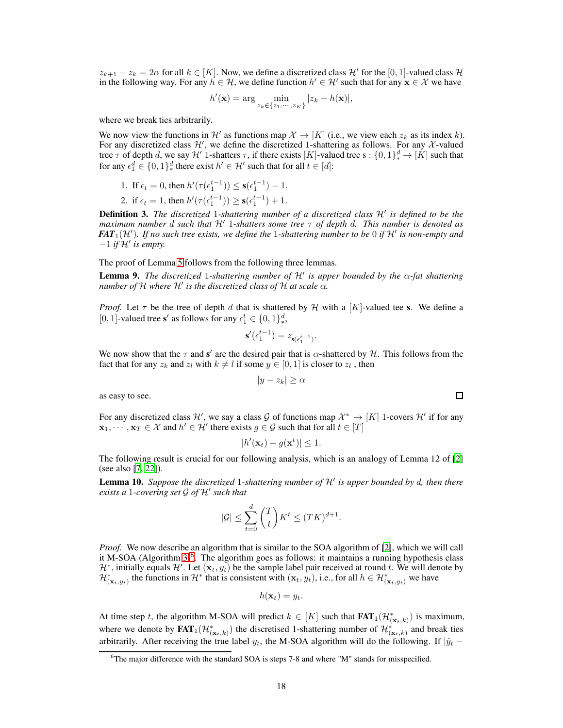$z_{k+1} - z_k = 2\alpha$  for all  $k \in [K]$ . Now, we define a discretized class  $\mathcal{H}'$  for the [0, 1]-valued class  $\mathcal{H}$ in the following way. For any  $h \in H$ , we define function  $h' \in H'$  such that for any  $\mathbf{x} \in \mathcal{X}$  we have

$$
h'(\mathbf{x}) = \arg\min_{z_k \in \{z_1, \cdots, z_K\}} |z_k - h(\mathbf{x})|,
$$

where we break ties arbitrarily.

We now view the functions in  $\mathcal{H}'$  as functions map  $\mathcal{X} \to [K]$  (i.e., we view each  $z_k$  as its index k). For any discretized class  $\mathcal{H}'$ , we define the discretized 1-shattering as follows. For any  $\mathcal{X}$ -valued tree  $\tau$  of depth d, we say  $\mathcal{H}'$  1-shatters  $\tau$ , if there exists [K]-valued tree s :  $\{0,1\}^d_* \to [K]$  such that for any  $\epsilon_1^d \in \{0,1\}^d_*$  there exist  $h' \in \mathcal{H}'$  such that for all  $t \in [d]$ :

1. If 
$$
\epsilon_t = 0
$$
, then  $h'(\tau(\epsilon_1^{t-1})) \le \mathbf{s}(\epsilon_1^{t-1}) - 1$ .

2. if 
$$
\epsilon_t = 1
$$
, then  $h'(\tau(\epsilon_1^{t-1})) \ge \mathbf{s}(\epsilon_1^{t-1}) + 1$ .

<span id="page-17-1"></span>Definition 3. *The discretized* <sup>1</sup>*-shattering number of a discretized class* <sup>H</sup>′ *is defined to be the maximum number* <sup>d</sup> *such that* <sup>H</sup>′ <sup>1</sup>*-shatters some tree* <sup>τ</sup> *of depth* <sup>d</sup>*. This number is denoted as FAT*1(H′ )*. If no such tree exists, we define the* <sup>1</sup>*-shattering number to be* <sup>0</sup> *if* <sup>H</sup>′ *is non-empty and* <sup>−</sup><sup>1</sup> *if* <sup>H</sup>′ *is empty.*

The proof of Lemma [5](#page-8-2) follows from the following three lemmas.

<span id="page-17-2"></span>**Lemma 9.** *The discretized* 1-shattering number of  $\mathcal{H}'$  is upper bounded by the  $\alpha$ -fat shattering *number of* <sup>H</sup> *where* <sup>H</sup>′ *is the discretized class of* H *at scale* α*.*

*Proof.* Let  $\tau$  be the tree of depth d that is shattered by H with a [K]-valued tee s. We define a [0, 1]-valued tree s' as follows for any  $\epsilon_1^t \in \{0, 1\}^d_*,$ 

$$
\mathbf{s}'(\epsilon_1^{t-1}) = z_{\mathbf{s}(\epsilon_1^{t-1})}.
$$

We now show that the  $\tau$  and  $s'$  are the desired pair that is  $\alpha$ -shattered by  $\mathcal{H}$ . This follows from the fact that for any  $z_k$  and  $z_l$  with  $k \neq l$  if some  $y \in [0, 1]$  is closer to  $z_l$ , then

$$
|y - z_k| \ge \alpha
$$

as easy to see.

For any discretized class  $\mathcal{H}'$ , we say a class  $\mathcal{G}$  of functions map  $\mathcal{X}^* \to [K]$  1-covers  $\mathcal{H}'$  if for any  $\mathbf{x}_1, \dots, \mathbf{x}_T \in \mathcal{X}$  and  $h' \in \mathcal{H}'$  there exists  $g \in \mathcal{G}$  such that for all  $t \in [T]$ 

$$
|h'(\mathbf{x}_t) - g(\mathbf{x}^t)| \leq 1.
$$

The following result is crucial for our following analysis, which is an analogy of Lemma 12 of [\[2\]](#page-9-20) (see also [\[7,](#page-9-21) [22\]](#page-9-0)).

<span id="page-17-3"></span>Lemma 10. *Suppose the discretized* <sup>1</sup>*-shattering number of* <sup>H</sup>′ *is upper bounded by* d*, then there exists a* <sup>1</sup>*-covering set* <sup>G</sup> *of* <sup>H</sup>′ *such that*

$$
|\mathcal{G}| \le \sum_{t=0}^d \binom{T}{t} K^t \le (TK)^{d+1}.
$$

*Proof.* We now describe an algorithm that is similar to the SOA algorithm of [\[2](#page-9-20)], which we will call it M-SOA (Algorithm  $3$ <sup>[6](#page-17-0)</sup>. The algorithm goes as follows: it maintains a running hypothesis class  $\mathcal{H}^*$ , initially equals  $\mathcal{H}'$ . Let  $(\mathbf{x}_t, y_t)$  be the sample label pair received at round t. We will denote by  $\mathcal{H}^*_{(\mathbf{x}_t, y_t)}$  the functions in  $\mathcal{H}^*$  that is consistent with  $(\mathbf{x}_t, y_t)$ , i.e., for all  $h \in \mathcal{H}^*_{(\mathbf{x}_t, y_t)}$  we have

$$
h(\mathbf{x}_t) = y_t.
$$

At time step t, the algorithm M-SOA will predict  $k \in [K]$  such that  $\text{FAT}_1(\mathcal{H}^*_{(\mathbf{x}_t,k)})$  is maximum, where we denote by  $FAT_1(\mathcal{H}^*_{(\mathbf{x}_t,k)})$  the discretised 1-shattering number of  $\mathcal{H}^*_{(\mathbf{x}_t,k)}$  and break ties arbitrarily. After receiving the true label  $y_t$ , the M-SOA algorithm will do the following. If  $|\hat{y}_t -$ 

<span id="page-17-0"></span><sup>6</sup>The major difference with the standard SOA is steps 7-8 and where "M" stands for misspecified.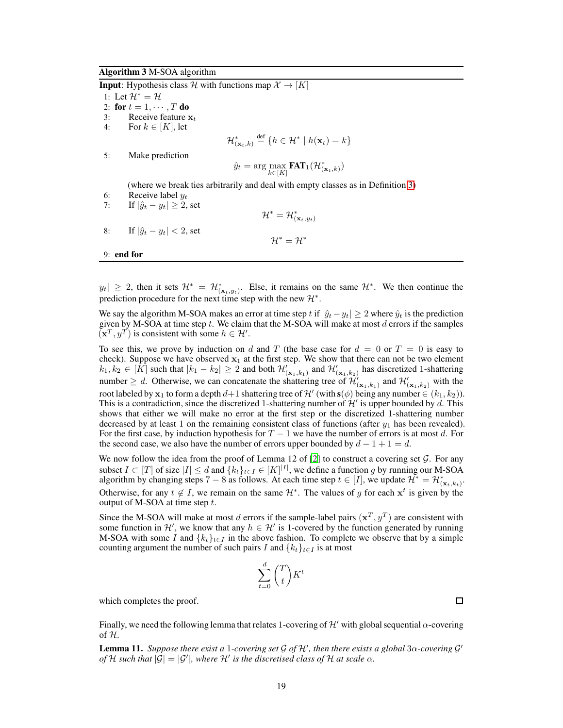#### Algorithm 3 M-SOA algorithm

<span id="page-18-0"></span>**Input**: Hypothesis class H with functions map  $\mathcal{X} \rightarrow [K]$ 1: Let  $\mathcal{H}^* = \mathcal{H}$ 2: for  $t = 1, \dots, T$  do<br>3: Receive feature 3: Receive feature  $x_t$ <br>4: For  $k \in [K]$ , let For  $k \in [K]$ , let  $\mathcal{H}_{(\mathbf{x}_t,k)}^* \stackrel{\text{def}}{=} \{h \in \mathcal{H}^* \mid h(\mathbf{x}_t) = k\}$ 5: Make prediction  $\hat{y}_t = \arg \max_{k \in [K]} \textbf{FAT}_1(\mathcal{H}^*_{(\mathbf{x}_t,k)})$ (where we break ties arbitrarily and deal with empty classes as in Definition [3\)](#page-17-1) 6: Receive label  $y_t$ 7: If  $|\hat{y}_t - y_t| \geq 2$ , set  $\mathcal{H}^*=\mathcal{H}^*_{(\mathbf{x}_t,y_t)}$ 8: If  $|\hat{y}_t - y_t| < 2$ , set  $\mathcal{H}^* = \mathcal{H}^*$ 9: end for

 $|y_t| \geq 2$ , then it sets  $\mathcal{H}^* = \mathcal{H}^*_{(\mathbf{x}_t, y_t)}$ . Else, it remains on the same  $\mathcal{H}^*$ . We then continue the prediction procedure for the next time step with the new  $\mathcal{H}^*$ .

We say the algorithm M-SOA makes an error at time step t if  $|\hat{y}_t - y_t| \geq 2$  where  $\hat{y}_t$  is the prediction given by M-SOA at time step  $t$ . We claim that the M-SOA will make at most  $d$  errors if the samples  $(\mathbf{x}^T, y^T)$  is consistent with some  $h \in \mathcal{H}'$ .

To see this, we prove by induction on d and T (the base case for  $d = 0$  or  $T = 0$  is easy to check). Suppose we have observed  $x_1$  at the first step. We show that there can not be two element  $k_1, k_2 \in [\overline{K}]$  such that  $|k_1 - k_2| \ge 2$  and both  $\mathcal{H}'_{(\mathbf{x}_1, k_1)}$  and  $\mathcal{H}'_{(\mathbf{x}_1, k_2)}$  has discretized 1-shattering number  $\geq d$ . Otherwise, we can concatenate the shattering tree of  $\mathcal{H}'_{(\mathbf{x}_1,k_1)}$  and  $\mathcal{H}'_{(\mathbf{x}_1,k_2)}$  with the root labeled by  $x_1$  to form a depth  $d+1$  shattering tree of  $\mathcal{H}'$  (with  $s(\phi)$  being any number  $\in (k_1, k_2)$ ). This is a contradiction, since the discretized 1-shattering number of  $\mathcal{H}'$  is upper bounded by d. This shows that either we will make no error at the first step or the discretized 1-shattering number decreased by at least 1 on the remaining consistent class of functions (after  $y_1$  has been revealed). For the first case, by induction hypothesis for  $T - 1$  we have the number of errors is at most d. For the second case, we also have the number of errors upper bounded by  $d - 1 + 1 = d$ .

We now follow the idea from the proof of Lemma 12 of  $[2]$  to construct a covering set  $G$ . For any subset  $I \subset [T]$  of size  $|I| \le d$  and  $\{k_t\}_{t \in I} \in [K]^{|I|}$ , we define a function g by running our M-SOA algorithm by changing steps 7 – 8 as follows. At each time step  $t \in [I]$ , we update  $\mathcal{H}^* = \mathcal{H}^*_{(\mathbf{x}_t, k_t)}$ . Otherwise, for any  $t \notin I$ , we remain on the same  $\mathcal{H}^*$ . The values of g for each  $x^t$  is given by the output of M-SOA at time step  $t$ .

Since the M-SOA will make at most d errors if the sample-label pairs  $(\mathbf{x}^T, y^T)$  are consistent with some function in  $\mathcal{H}'$ , we know that any  $h \in \mathcal{H}'$  is 1-covered by the function generated by running M-SOA with some I and  $\{k_t\}_{t\in I}$  in the above fashion. To complete we observe that by a simple counting argument the number of such pairs I and  ${k_t}_{t \in I}$  is at most

$$
\sum_{t=0}^{d} \binom{T}{t} K^t
$$

which completes the proof.

Finally, we need the following lemma that relates 1-covering of  $\mathcal{H}'$  with global sequential  $\alpha$ -covering of  $H$ .

<span id="page-18-1"></span>Lemma 11. *Suppose there exist a* <sup>1</sup>*-covering set* <sup>G</sup> *of* <sup>H</sup>′ *, then there exists a global* 3α*-covering* G ′ *of* H such that  $|\overline{G}| = |G'|$ , where H' is the discretised class of H at scale  $\alpha$ *.*